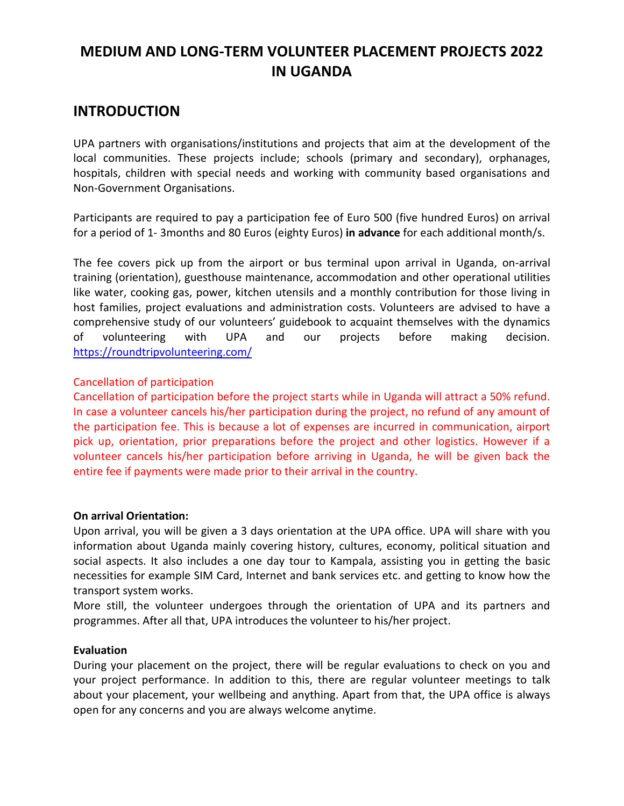# **MEDIUM AND LONG-TERM VOLUNTEER PLACEMENT PROJECTS 2022 IN UGANDA**

# **INTRODUCTION**

UPA partners with organisations/institutions and projects that aim at the development of the local communities. These projects include; schools (primary and secondary), orphanages, hospitals, children with special needs and working with community based organisations and Non-Government Organisations.

Participants are required to pay a participation fee of Euro 500 (five hundred Euros) on arrival for a period of 1- 3months and 80 Euros (eighty Euros) **in advance** for each additional month/s.

The fee covers pick up from the airport or bus terminal upon arrival in Uganda, on-arrival training (orientation), guesthouse maintenance, accommodation and other operational utilities like water, cooking gas, power, kitchen utensils and a monthly contribution for those living in host families, project evaluations and administration costs. Volunteers are advised to have a comprehensive study of our volunteers' guidebook to acquaint themselves with the dynamics of volunteering with UPA and our projects before making decision. <https://roundtripvolunteering.com/>

#### Cancellation of participation

Cancellation of participation before the project starts while in Uganda will attract a 50% refund. In case a volunteer cancels his/her participation during the project, no refund of any amount of the participation fee. This is because a lot of expenses are incurred in communication, airport pick up, orientation, prior preparations before the project and other logistics. However if a volunteer cancels his/her participation before arriving in Uganda, he will be given back the entire fee if payments were made prior to their arrival in the country.

#### **On arrival Orientation:**

Upon arrival, you will be given a 3 days orientation at the UPA office. UPA will share with you information about Uganda mainly covering history, cultures, economy, political situation and social aspects. It also includes a one day tour to Kampala, assisting you in getting the basic necessities for example SIM Card, Internet and bank services etc. and getting to know how the transport system works.

More still, the volunteer undergoes through the orientation of UPA and its partners and programmes. After all that, UPA introduces the volunteer to his/her project.

#### **Evaluation**

During your placement on the project, there will be regular evaluations to check on you and your project performance. In addition to this, there are regular volunteer meetings to talk about your placement, your wellbeing and anything. Apart from that, the UPA office is always open for any concerns and you are always welcome anytime.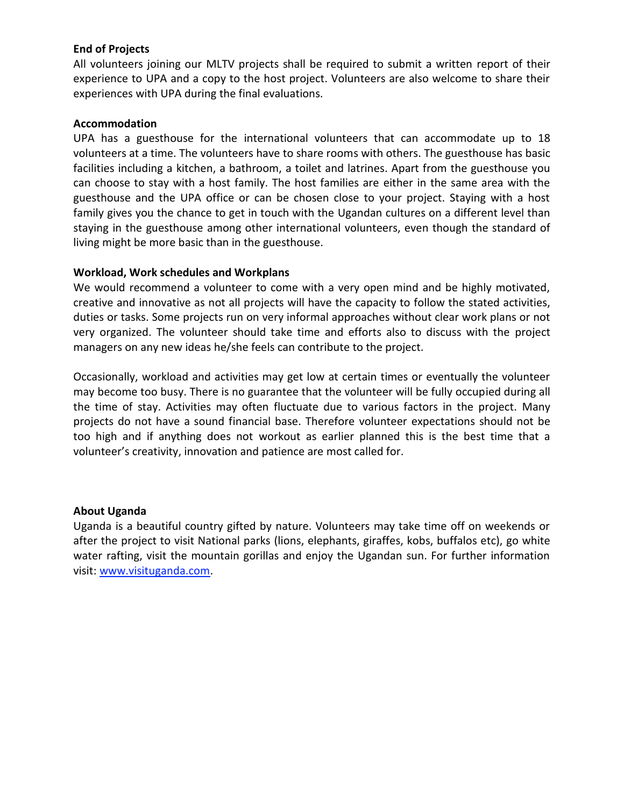#### **End of Projects**

All volunteers joining our MLTV projects shall be required to submit a written report of their experience to UPA and a copy to the host project. Volunteers are also welcome to share their experiences with UPA during the final evaluations.

#### **Accommodation**

UPA has a guesthouse for the international volunteers that can accommodate up to 18 volunteers at a time. The volunteers have to share rooms with others. The guesthouse has basic facilities including a kitchen, a bathroom, a toilet and latrines. Apart from the guesthouse you can choose to stay with a host family. The host families are either in the same area with the guesthouse and the UPA office or can be chosen close to your project. Staying with a host family gives you the chance to get in touch with the Ugandan cultures on a different level than staying in the guesthouse among other international volunteers, even though the standard of living might be more basic than in the guesthouse.

#### **Workload, Work schedules and Workplans**

We would recommend a volunteer to come with a very open mind and be highly motivated, creative and innovative as not all projects will have the capacity to follow the stated activities, duties or tasks. Some projects run on very informal approaches without clear work plans or not very organized. The volunteer should take time and efforts also to discuss with the project managers on any new ideas he/she feels can contribute to the project.

Occasionally, workload and activities may get low at certain times or eventually the volunteer may become too busy. There is no guarantee that the volunteer will be fully occupied during all the time of stay. Activities may often fluctuate due to various factors in the project. Many projects do not have a sound financial base. Therefore volunteer expectations should not be too high and if anything does not workout as earlier planned this is the best time that a volunteer's creativity, innovation and patience are most called for.

#### **About Uganda**

Uganda is a beautiful country gifted by nature. Volunteers may take time off on weekends or after the project to visit National parks (lions, elephants, giraffes, kobs, buffalos etc), go white water rafting, visit the mountain gorillas and enjoy the Ugandan sun. For further information visit: [www.visituganda.com.](http://www.visituganda.com/)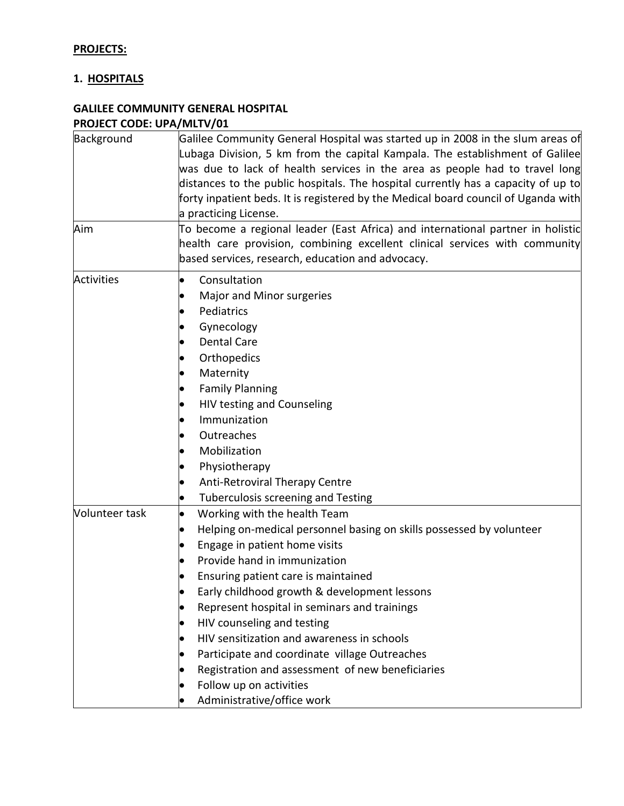# **PROJECTS:**

## **1. HOSPITALS**

# **GALILEE COMMUNITY GENERAL HOSPITAL PROJECT CODE: UPA/MLTV/01**

| Background        | Galilee Community General Hospital was started up in 2008 in the slum areas of     |
|-------------------|------------------------------------------------------------------------------------|
|                   | Lubaga Division, 5 km from the capital Kampala. The establishment of Galilee       |
|                   | was due to lack of health services in the area as people had to travel long        |
|                   | distances to the public hospitals. The hospital currently has a capacity of up to  |
|                   | forty inpatient beds. It is registered by the Medical board council of Uganda with |
|                   | a practicing License.                                                              |
| Aim               | To become a regional leader (East Africa) and international partner in holistic    |
|                   | health care provision, combining excellent clinical services with community        |
|                   | based services, research, education and advocacy.                                  |
| <b>Activities</b> | Consultation<br>$\bullet$                                                          |
|                   | Major and Minor surgeries                                                          |
|                   | Pediatrics                                                                         |
|                   | Gynecology                                                                         |
|                   | <b>Dental Care</b>                                                                 |
|                   | Orthopedics                                                                        |
|                   | Maternity                                                                          |
|                   | <b>Family Planning</b>                                                             |
|                   | HIV testing and Counseling                                                         |
|                   | Immunization                                                                       |
|                   | Outreaches                                                                         |
|                   | Mobilization                                                                       |
|                   | Physiotherapy                                                                      |
|                   | Anti-Retroviral Therapy Centre                                                     |
|                   | Tuberculosis screening and Testing                                                 |
| Volunteer task    | Working with the health Team<br>$\bullet$                                          |
|                   | Helping on-medical personnel basing on skills possessed by volunteer               |
|                   | Engage in patient home visits                                                      |
|                   | Provide hand in immunization                                                       |
|                   | Ensuring patient care is maintained                                                |
|                   | Early childhood growth & development lessons                                       |
|                   | Represent hospital in seminars and trainings                                       |
|                   | HIV counseling and testing                                                         |
|                   | HIV sensitization and awareness in schools                                         |
|                   | Participate and coordinate village Outreaches                                      |
|                   | Registration and assessment of new beneficiaries                                   |
|                   | Follow up on activities                                                            |
|                   | Administrative/office work                                                         |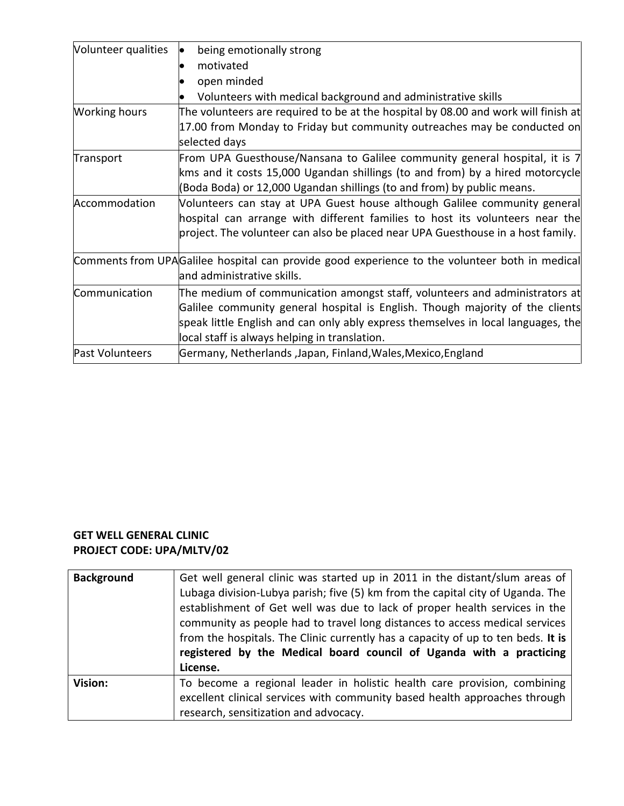| Volunteer qualities  | being emotionally strong                                                                       |
|----------------------|------------------------------------------------------------------------------------------------|
|                      | motivated                                                                                      |
|                      | open minded                                                                                    |
|                      | Volunteers with medical background and administrative skills                                   |
| <b>Working hours</b> | The volunteers are required to be at the hospital by 08.00 and work will finish at             |
|                      | 17.00 from Monday to Friday but community outreaches may be conducted on                       |
|                      | selected days                                                                                  |
| Transport            | From UPA Guesthouse/Nansana to Galilee community general hospital, it is 7                     |
|                      | kms and it costs 15,000 Ugandan shillings (to and from) by a hired motorcycle                  |
|                      | (Boda Boda) or 12,000 Ugandan shillings (to and from) by public means.                         |
| Accommodation        | Volunteers can stay at UPA Guest house although Galilee community general                      |
|                      | hospital can arrange with different families to host its volunteers near the                   |
|                      | project. The volunteer can also be placed near UPA Guesthouse in a host family.                |
|                      | Comments from UPAGalilee hospital can provide good experience to the volunteer both in medical |
|                      | and administrative skills.                                                                     |
| Communication        | The medium of communication amongst staff, volunteers and administrators at                    |
|                      | Galilee community general hospital is English. Though majority of the clients                  |
|                      | speak little English and can only ably express themselves in local languages, the              |
|                      | local staff is always helping in translation.                                                  |
| Past Volunteers      | Germany, Netherlands ,Japan, Finland, Wales, Mexico, England                                   |

# **GET WELL GENERAL CLINIC PROJECT CODE: UPA/MLTV/02**

| <b>Background</b> | Get well general clinic was started up in 2011 in the distant/slum areas of<br>Lubaga division-Lubya parish; five (5) km from the capital city of Uganda. The<br>establishment of Get well was due to lack of proper health services in the<br>community as people had to travel long distances to access medical services<br>from the hospitals. The Clinic currently has a capacity of up to ten beds. It is<br>registered by the Medical board council of Uganda with a practicing<br>License. |
|-------------------|---------------------------------------------------------------------------------------------------------------------------------------------------------------------------------------------------------------------------------------------------------------------------------------------------------------------------------------------------------------------------------------------------------------------------------------------------------------------------------------------------|
| Vision:           | To become a regional leader in holistic health care provision, combining<br>excellent clinical services with community based health approaches through<br>research, sensitization and advocacy.                                                                                                                                                                                                                                                                                                   |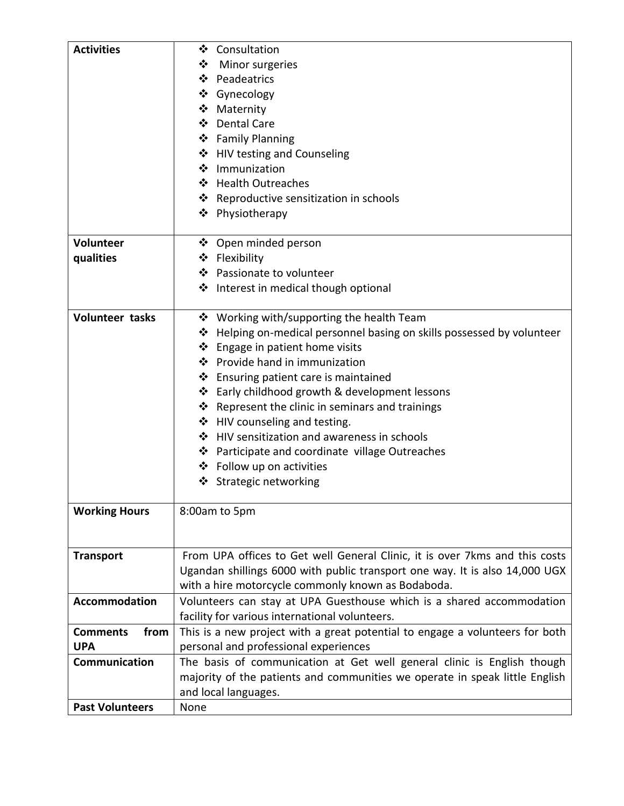| <b>Activities</b>       | ❖ Consultation                                                               |
|-------------------------|------------------------------------------------------------------------------|
|                         | ❖ Minor surgeries                                                            |
|                         | ❖ Peadeatrics                                                                |
|                         | ❖ Gynecology                                                                 |
|                         | ❖ Maternity                                                                  |
|                         | ❖ Dental Care                                                                |
|                         | ❖ Family Planning                                                            |
|                         | ❖ HIV testing and Counseling                                                 |
|                         | ❖ Immunization                                                               |
|                         | ❖ Health Outreaches                                                          |
|                         | ❖ Reproductive sensitization in schools                                      |
|                         | ❖ Physiotherapy                                                              |
|                         |                                                                              |
| <b>Volunteer</b>        | ❖ Open minded person                                                         |
| qualities               | ❖ Flexibility                                                                |
|                         | ❖ Passionate to volunteer                                                    |
|                         | ❖ Interest in medical though optional                                        |
|                         |                                                                              |
| <b>Volunteer tasks</b>  | ❖ Working with/supporting the health Team                                    |
|                         | ❖ Helping on-medical personnel basing on skills possessed by volunteer       |
|                         | $\triangleleft$ Engage in patient home visits                                |
|                         | ❖ Provide hand in immunization                                               |
|                         | ❖ Ensuring patient care is maintained                                        |
|                         | ❖ Early childhood growth & development lessons                               |
|                         | ❖ Represent the clinic in seminars and trainings                             |
|                         | ❖ HIV counseling and testing.                                                |
|                         | ❖ HIV sensitization and awareness in schools                                 |
|                         | ❖ Participate and coordinate village Outreaches                              |
|                         | ❖ Follow up on activities                                                    |
|                         | ❖ Strategic networking                                                       |
|                         |                                                                              |
| <b>Working Hours</b>    | 8:00am to 5pm                                                                |
|                         |                                                                              |
|                         |                                                                              |
| <b>Transport</b>        | From UPA offices to Get well General Clinic, it is over 7kms and this costs  |
|                         | Ugandan shillings 6000 with public transport one way. It is also 14,000 UGX  |
|                         | with a hire motorcycle commonly known as Bodaboda.                           |
| Accommodation           | Volunteers can stay at UPA Guesthouse which is a shared accommodation        |
|                         | facility for various international volunteers.                               |
| from<br><b>Comments</b> | This is a new project with a great potential to engage a volunteers for both |
| <b>UPA</b>              | personal and professional experiences                                        |
| Communication           | The basis of communication at Get well general clinic is English though      |
|                         | majority of the patients and communities we operate in speak little English  |
|                         | and local languages.                                                         |
| <b>Past Volunteers</b>  | None                                                                         |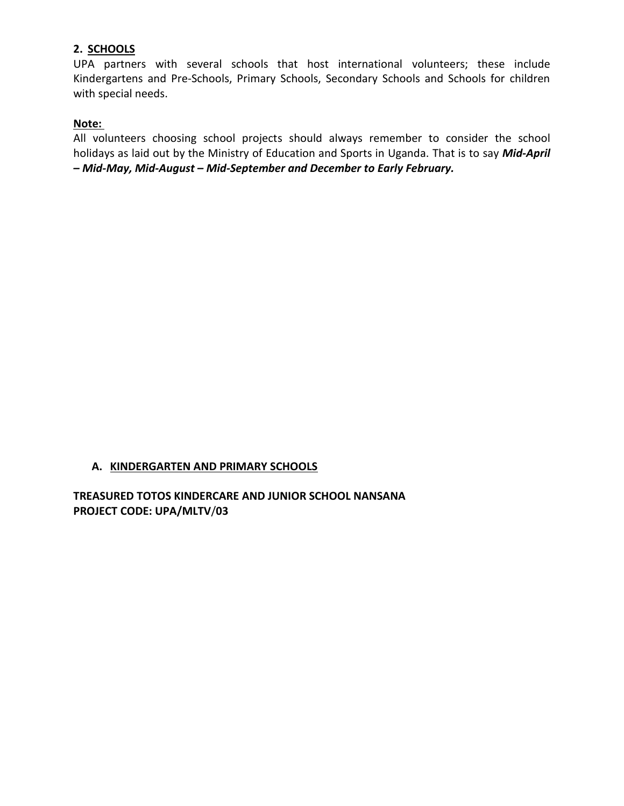#### **2. SCHOOLS**

UPA partners with several schools that host international volunteers; these include Kindergartens and Pre-Schools, Primary Schools, Secondary Schools and Schools for children with special needs.

## **Note:**

All volunteers choosing school projects should always remember to consider the school holidays as laid out by the Ministry of Education and Sports in Uganda. That is to say *Mid-April – Mid-May, Mid-August – Mid-September and December to Early February.*

#### **A. KINDERGARTEN AND PRIMARY SCHOOLS**

**TREASURED TOTOS KINDERCARE AND JUNIOR SCHOOL NANSANA PROJECT CODE: UPA/MLTV**/**03**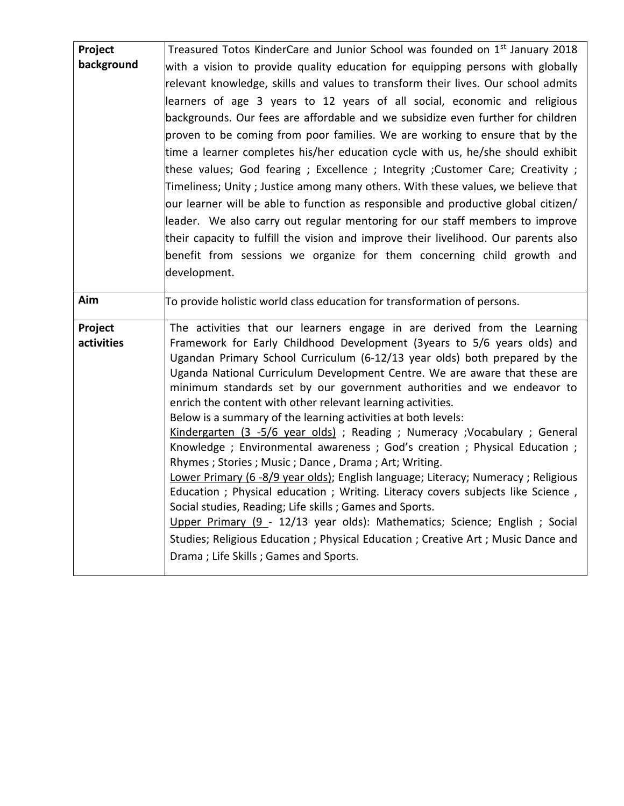| Project    | Treasured Totos KinderCare and Junior School was founded on 1 <sup>st</sup> January 2018                                                               |
|------------|--------------------------------------------------------------------------------------------------------------------------------------------------------|
| background | with a vision to provide quality education for equipping persons with globally                                                                         |
|            | relevant knowledge, skills and values to transform their lives. Our school admits                                                                      |
|            | learners of age 3 years to 12 years of all social, economic and religious                                                                              |
|            | backgrounds. Our fees are affordable and we subsidize even further for children                                                                        |
|            | proven to be coming from poor families. We are working to ensure that by the                                                                           |
|            | time a learner completes his/her education cycle with us, he/she should exhibit                                                                        |
|            | these values; God fearing; Excellence; Integrity; Customer Care; Creativity;                                                                           |
|            | Timeliness; Unity ; Justice among many others. With these values, we believe that                                                                      |
|            | our learner will be able to function as responsible and productive global citizen/                                                                     |
|            | leader. We also carry out regular mentoring for our staff members to improve                                                                           |
|            | their capacity to fulfill the vision and improve their livelihood. Our parents also                                                                    |
|            | benefit from sessions we organize for them concerning child growth and                                                                                 |
|            | development.                                                                                                                                           |
|            |                                                                                                                                                        |
| Aim        | To provide holistic world class education for transformation of persons.                                                                               |
| Project    | The activities that our learners engage in are derived from the Learning                                                                               |
| activities | Framework for Early Childhood Development (3years to 5/6 years olds) and                                                                               |
|            | Ugandan Primary School Curriculum (6-12/13 year olds) both prepared by the                                                                             |
|            | Uganda National Curriculum Development Centre. We are aware that these are                                                                             |
|            | minimum standards set by our government authorities and we endeavor to                                                                                 |
|            | enrich the content with other relevant learning activities.                                                                                            |
|            |                                                                                                                                                        |
|            | Below is a summary of the learning activities at both levels:                                                                                          |
|            | Kindergarten (3 -5/6 year olds) ; Reading ; Numeracy ; Vocabulary ; General<br>Knowledge; Environmental awareness; God's creation; Physical Education; |
|            | Rhymes; Stories; Music; Dance, Drama; Art; Writing.                                                                                                    |
|            | Lower Primary (6 -8/9 year olds); English language; Literacy; Numeracy; Religious                                                                      |
|            | Education ; Physical education ; Writing. Literacy covers subjects like Science                                                                        |
|            | Social studies, Reading; Life skills; Games and Sports.                                                                                                |
|            | Upper Primary (9 - 12/13 year olds): Mathematics; Science; English; Social                                                                             |
|            | Studies; Religious Education ; Physical Education ; Creative Art ; Music Dance and                                                                     |
|            | Drama; Life Skills; Games and Sports.                                                                                                                  |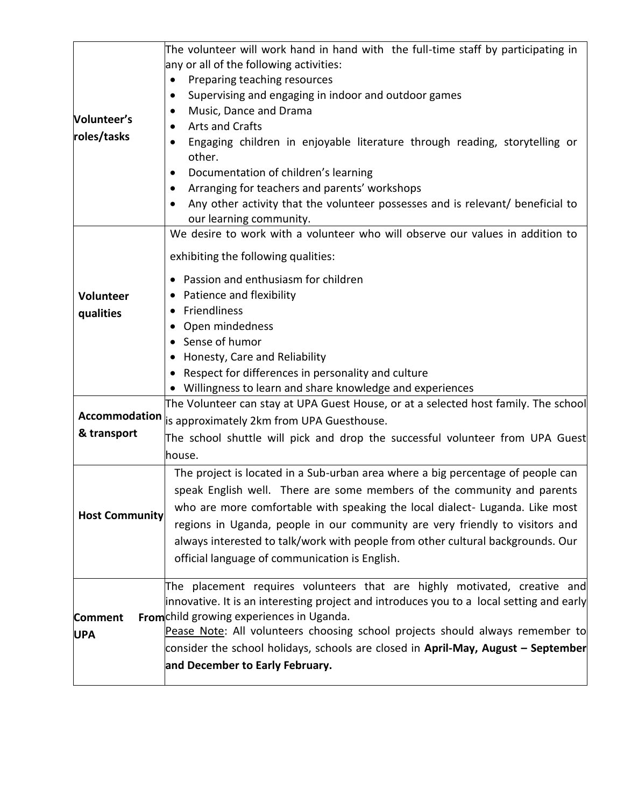| Volunteer's<br>roles/tasks                                    | The volunteer will work hand in hand with the full-time staff by participating in<br>any or all of the following activities:<br>Preparing teaching resources<br>$\bullet$<br>Supervising and engaging in indoor and outdoor games<br>٠<br>Music, Dance and Drama<br>$\bullet$<br><b>Arts and Crafts</b><br>Engaging children in enjoyable literature through reading, storytelling or<br>٠<br>other.<br>Documentation of children's learning<br>٠<br>Arranging for teachers and parents' workshops<br>$\bullet$<br>Any other activity that the volunteer possesses and is relevant/ beneficial to<br>$\bullet$<br>our learning community. |
|---------------------------------------------------------------|-------------------------------------------------------------------------------------------------------------------------------------------------------------------------------------------------------------------------------------------------------------------------------------------------------------------------------------------------------------------------------------------------------------------------------------------------------------------------------------------------------------------------------------------------------------------------------------------------------------------------------------------|
| Volunteer<br>qualities<br><b>Accommodation</b><br>& transport | We desire to work with a volunteer who will observe our values in addition to<br>exhibiting the following qualities:<br>Passion and enthusiasm for children<br>Patience and flexibility<br>Friendliness<br>Open mindedness<br>$\bullet$<br>Sense of humor<br>Honesty, Care and Reliability<br>• Respect for differences in personality and culture<br>• Willingness to learn and share knowledge and experiences<br>The Volunteer can stay at UPA Guest House, or at a selected host family. The school<br>is approximately 2km from UPA Guesthouse.<br>The school shuttle will pick and drop the successful volunteer from UPA Guest     |
| <b>Host Community</b>                                         | house.<br>The project is located in a Sub-urban area where a big percentage of people can<br>speak English well. There are some members of the community and parents<br>who are more comfortable with speaking the local dialect- Luganda. Like most<br>regions in Uganda, people in our community are very friendly to visitors and<br>always interested to talk/work with people from other cultural backgrounds. Our<br>official language of communication is English.                                                                                                                                                                 |
| <b>Comment</b><br><b>UPA</b>                                  | The placement requires volunteers that are highly motivated, creative and<br>innovative. It is an interesting project and introduces you to a local setting and early<br>Fromchild growing experiences in Uganda.<br>Pease Note: All volunteers choosing school projects should always remember to<br>consider the school holidays, schools are closed in April-May, August - September<br>and December to Early February.                                                                                                                                                                                                                |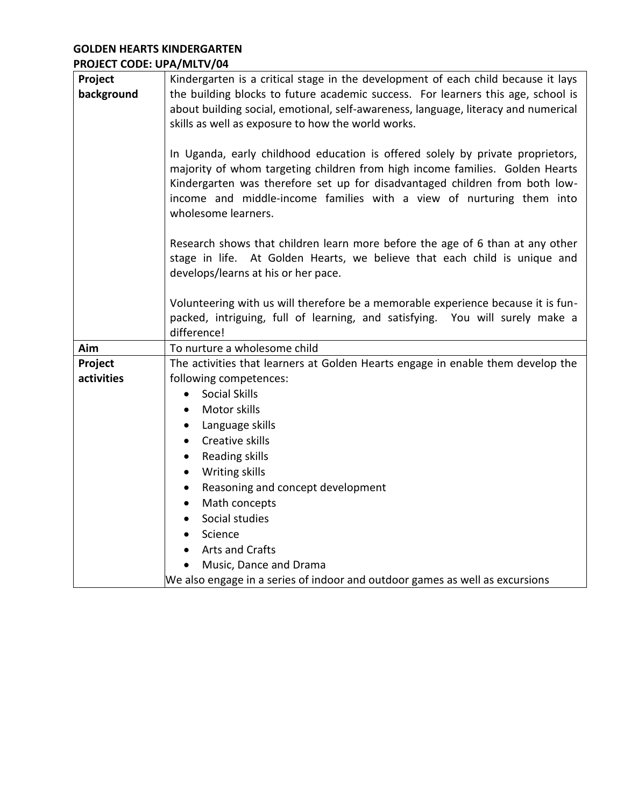## **GOLDEN HEARTS KINDERGARTEN PROJECT CODE: UPA/MLTV/04**

| Project<br>background | Kindergarten is a critical stage in the development of each child because it lays<br>the building blocks to future academic success. For learners this age, school is<br>about building social, emotional, self-awareness, language, literacy and numerical<br>skills as well as exposure to how the world works.                            |
|-----------------------|----------------------------------------------------------------------------------------------------------------------------------------------------------------------------------------------------------------------------------------------------------------------------------------------------------------------------------------------|
|                       | In Uganda, early childhood education is offered solely by private proprietors,<br>majority of whom targeting children from high income families. Golden Hearts<br>Kindergarten was therefore set up for disadvantaged children from both low-<br>income and middle-income families with a view of nurturing them into<br>wholesome learners. |
|                       | Research shows that children learn more before the age of 6 than at any other<br>stage in life. At Golden Hearts, we believe that each child is unique and<br>develops/learns at his or her pace.                                                                                                                                            |
|                       | Volunteering with us will therefore be a memorable experience because it is fun-<br>packed, intriguing, full of learning, and satisfying. You will surely make a<br>difference!                                                                                                                                                              |
| Aim                   | To nurture a wholesome child                                                                                                                                                                                                                                                                                                                 |
| Project               | The activities that learners at Golden Hearts engage in enable them develop the                                                                                                                                                                                                                                                              |
| activities            | following competences:                                                                                                                                                                                                                                                                                                                       |
|                       | <b>Social Skills</b><br>$\bullet$                                                                                                                                                                                                                                                                                                            |
|                       | Motor skills<br>$\bullet$                                                                                                                                                                                                                                                                                                                    |
|                       | Language skills<br>$\bullet$                                                                                                                                                                                                                                                                                                                 |
|                       | Creative skills<br>$\bullet$                                                                                                                                                                                                                                                                                                                 |
|                       | Reading skills<br>$\bullet$                                                                                                                                                                                                                                                                                                                  |
|                       | Writing skills<br>$\bullet$                                                                                                                                                                                                                                                                                                                  |
|                       | Reasoning and concept development<br>$\bullet$                                                                                                                                                                                                                                                                                               |
|                       | Math concepts<br>$\bullet$                                                                                                                                                                                                                                                                                                                   |
|                       | Social studies<br>$\bullet$                                                                                                                                                                                                                                                                                                                  |
|                       | Science                                                                                                                                                                                                                                                                                                                                      |
|                       | Arts and Crafts                                                                                                                                                                                                                                                                                                                              |
|                       | Music, Dance and Drama                                                                                                                                                                                                                                                                                                                       |
|                       | We also engage in a series of indoor and outdoor games as well as excursions                                                                                                                                                                                                                                                                 |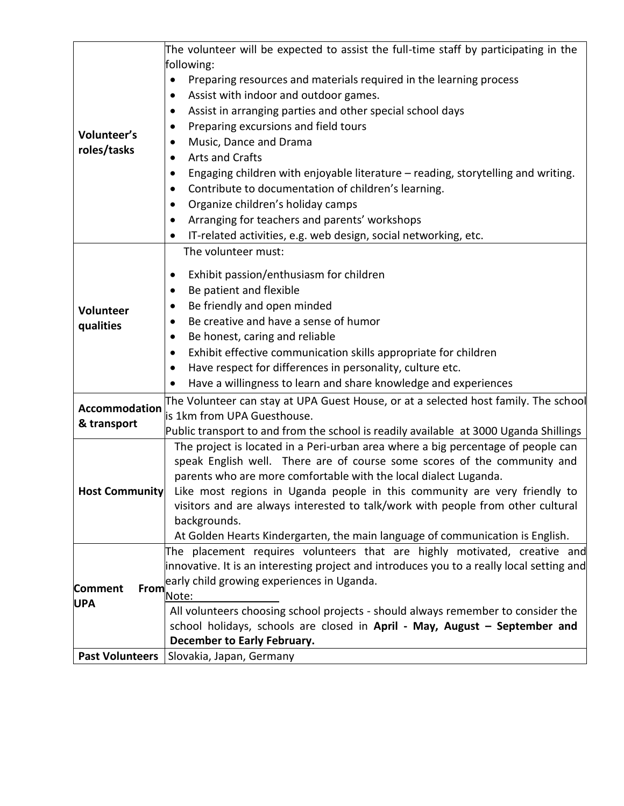|                        | The volunteer will be expected to assist the full-time staff by participating in the      |
|------------------------|-------------------------------------------------------------------------------------------|
|                        | following:                                                                                |
|                        | Preparing resources and materials required in the learning process<br>$\bullet$           |
|                        | Assist with indoor and outdoor games.<br>$\bullet$                                        |
|                        | Assist in arranging parties and other special school days<br>$\bullet$                    |
| Volunteer's            | Preparing excursions and field tours<br>٠                                                 |
| roles/tasks            | Music, Dance and Drama<br>٠                                                               |
|                        | Arts and Crafts<br>$\bullet$                                                              |
|                        | Engaging children with enjoyable literature - reading, storytelling and writing.<br>٠     |
|                        | Contribute to documentation of children's learning.<br>٠                                  |
|                        | Organize children's holiday camps<br>٠                                                    |
|                        | Arranging for teachers and parents' workshops<br>٠                                        |
|                        | IT-related activities, e.g. web design, social networking, etc.                           |
|                        | The volunteer must:                                                                       |
|                        | Exhibit passion/enthusiasm for children                                                   |
|                        | $\bullet$<br>Be patient and flexible                                                      |
|                        | ٠                                                                                         |
| Volunteer              | Be friendly and open minded<br>$\bullet$                                                  |
| qualities              | Be creative and have a sense of humor                                                     |
|                        | Be honest, caring and reliable<br>$\bullet$                                               |
|                        | Exhibit effective communication skills appropriate for children<br>٠                      |
|                        | Have respect for differences in personality, culture etc.<br>$\bullet$                    |
|                        | Have a willingness to learn and share knowledge and experiences<br>٠                      |
| <b>Accommodation</b>   | The Volunteer can stay at UPA Guest House, or at a selected host family. The school       |
| & transport            | is 1km from UPA Guesthouse.                                                               |
|                        | Public transport to and from the school is readily available at 3000 Uganda Shillings     |
|                        | The project is located in a Peri-urban area where a big percentage of people can          |
|                        | speak English well. There are of course some scores of the community and                  |
|                        | parents who are more comfortable with the local dialect Luganda.                          |
| <b>Host Community</b>  | Like most regions in Uganda people in this community are very friendly to                 |
|                        | visitors and are always interested to talk/work with people from other cultural           |
|                        | backgrounds.                                                                              |
|                        | At Golden Hearts Kindergarten, the main language of communication is English.             |
|                        | The placement requires volunteers that are highly motivated, creative and                 |
|                        | innovative. It is an interesting project and introduces you to a really local setting and |
| <b>Comment</b><br>From | early child growing experiences in Uganda.                                                |
| <b>UPA</b>             | Note:                                                                                     |
|                        | All volunteers choosing school projects - should always remember to consider the          |
|                        | school holidays, schools are closed in April - May, August - September and                |
|                        | <b>December to Early February.</b>                                                        |
| <b>Past Volunteers</b> | Slovakia, Japan, Germany                                                                  |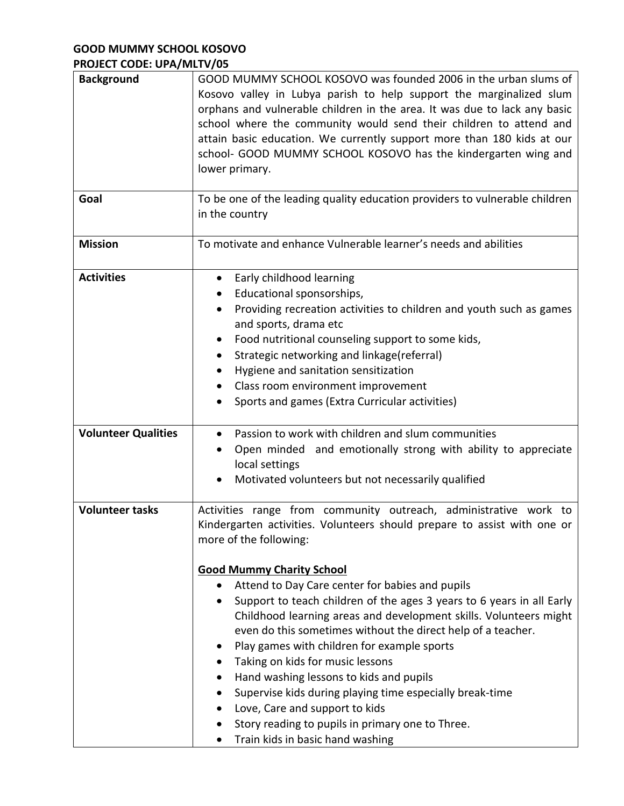## **GOOD MUMMY SCHOOL KOSOVO PROJECT CODE: UPA/MLTV/05**

| <b>Background</b>          | GOOD MUMMY SCHOOL KOSOVO was founded 2006 in the urban slums of<br>Kosovo valley in Lubya parish to help support the marginalized slum<br>orphans and vulnerable children in the area. It was due to lack any basic<br>school where the community would send their children to attend and<br>attain basic education. We currently support more than 180 kids at our<br>school- GOOD MUMMY SCHOOL KOSOVO has the kindergarten wing and<br>lower primary.                                                                                                                                                                                                                                                                                                                                              |
|----------------------------|------------------------------------------------------------------------------------------------------------------------------------------------------------------------------------------------------------------------------------------------------------------------------------------------------------------------------------------------------------------------------------------------------------------------------------------------------------------------------------------------------------------------------------------------------------------------------------------------------------------------------------------------------------------------------------------------------------------------------------------------------------------------------------------------------|
| Goal                       | To be one of the leading quality education providers to vulnerable children<br>in the country                                                                                                                                                                                                                                                                                                                                                                                                                                                                                                                                                                                                                                                                                                        |
| <b>Mission</b>             | To motivate and enhance Vulnerable learner's needs and abilities                                                                                                                                                                                                                                                                                                                                                                                                                                                                                                                                                                                                                                                                                                                                     |
| <b>Activities</b>          | Early childhood learning<br>$\bullet$<br>Educational sponsorships,<br>$\bullet$<br>Providing recreation activities to children and youth such as games<br>and sports, drama etc<br>Food nutritional counseling support to some kids,<br>٠<br>Strategic networking and linkage(referral)<br>٠<br>Hygiene and sanitation sensitization<br>Class room environment improvement<br>٠<br>Sports and games (Extra Curricular activities)                                                                                                                                                                                                                                                                                                                                                                    |
| <b>Volunteer Qualities</b> | Passion to work with children and slum communities<br>$\bullet$<br>Open minded and emotionally strong with ability to appreciate<br>local settings<br>Motivated volunteers but not necessarily qualified                                                                                                                                                                                                                                                                                                                                                                                                                                                                                                                                                                                             |
| <b>Volunteer tasks</b>     | Activities range from community outreach, administrative work to<br>Kindergarten activities. Volunteers should prepare to assist with one or<br>more of the following:<br><b>Good Mummy Charity School</b><br>Attend to Day Care center for babies and pupils<br>Support to teach children of the ages 3 years to 6 years in all Early<br>Childhood learning areas and development skills. Volunteers might<br>even do this sometimes without the direct help of a teacher.<br>Play games with children for example sports<br>Taking on kids for music lessons<br>Hand washing lessons to kids and pupils<br>٠<br>Supervise kids during playing time especially break-time<br>Love, Care and support to kids<br>Story reading to pupils in primary one to Three.<br>Train kids in basic hand washing |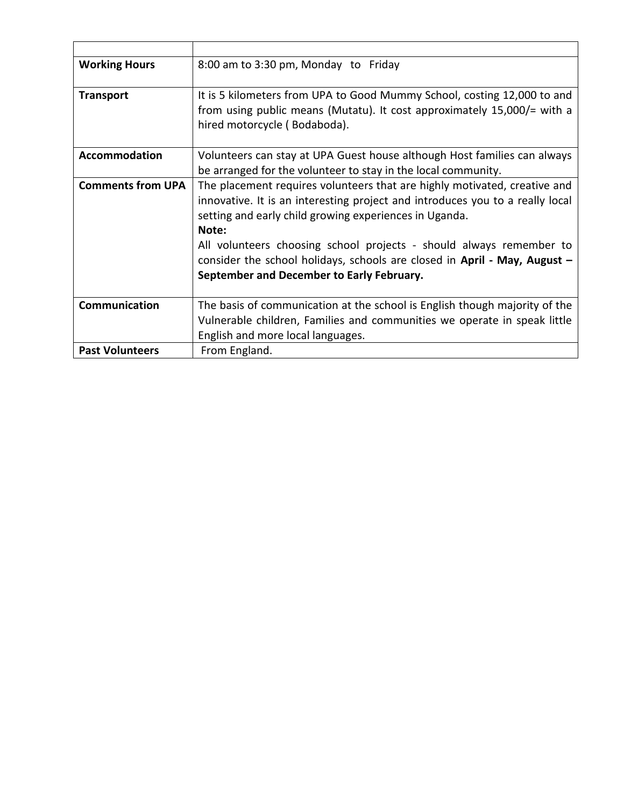| <b>Working Hours</b>     | 8:00 am to 3:30 pm, Monday to Friday                                          |
|--------------------------|-------------------------------------------------------------------------------|
|                          |                                                                               |
| <b>Transport</b>         | It is 5 kilometers from UPA to Good Mummy School, costing 12,000 to and       |
|                          | from using public means (Mutatu). It cost approximately 15,000/= with a       |
|                          | hired motorcycle (Bodaboda).                                                  |
| <b>Accommodation</b>     | Volunteers can stay at UPA Guest house although Host families can always      |
|                          | be arranged for the volunteer to stay in the local community.                 |
|                          |                                                                               |
| <b>Comments from UPA</b> | The placement requires volunteers that are highly motivated, creative and     |
|                          | innovative. It is an interesting project and introduces you to a really local |
|                          | setting and early child growing experiences in Uganda.                        |
|                          | Note:                                                                         |
|                          | All volunteers choosing school projects - should always remember to           |
|                          | consider the school holidays, schools are closed in April - May, August $-$   |
|                          | September and December to Early February.                                     |
|                          |                                                                               |
| Communication            | The basis of communication at the school is English though majority of the    |
|                          | Vulnerable children, Families and communities we operate in speak little      |
|                          | English and more local languages.                                             |
| <b>Past Volunteers</b>   | From England.                                                                 |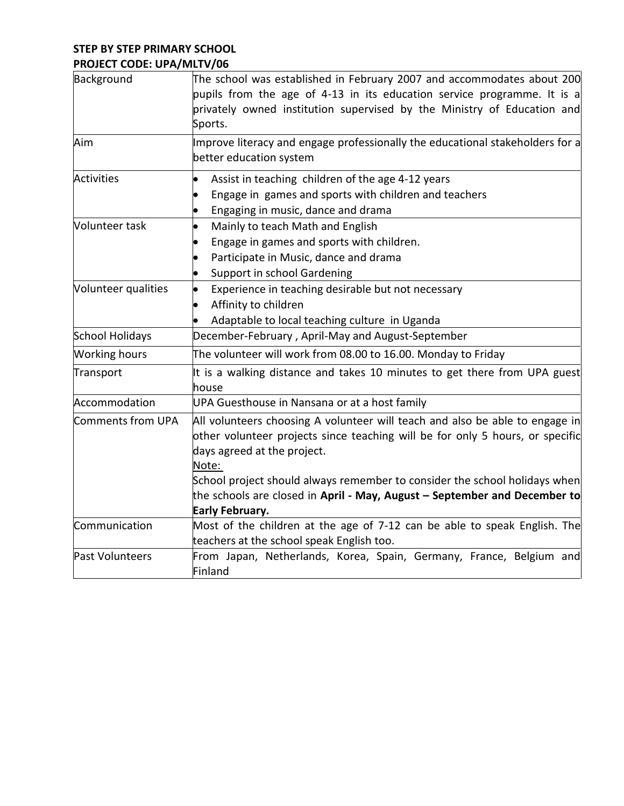## **STEP BY STEP PRIMARY SCHOOL PROJECT CODE: UPA/MLTV/06**

| Background             | The school was established in February 2007 and accommodates about 200<br>pupils from the age of 4-13 in its education service programme. It is a<br>privately owned institution supervised by the Ministry of Education and<br>Sports.                                                                                                                                                    |
|------------------------|--------------------------------------------------------------------------------------------------------------------------------------------------------------------------------------------------------------------------------------------------------------------------------------------------------------------------------------------------------------------------------------------|
| Aim                    | Improve literacy and engage professionally the educational stakeholders for a<br>better education system                                                                                                                                                                                                                                                                                   |
| <b>Activities</b>      | Assist in teaching children of the age 4-12 years<br>Engage in games and sports with children and teachers<br>Engaging in music, dance and drama                                                                                                                                                                                                                                           |
| Volunteer task         | Mainly to teach Math and English<br>Engage in games and sports with children.<br>Participate in Music, dance and drama<br>Support in school Gardening                                                                                                                                                                                                                                      |
| Volunteer qualities    | Experience in teaching desirable but not necessary<br>$\bullet$<br>Affinity to children<br>Adaptable to local teaching culture in Uganda                                                                                                                                                                                                                                                   |
| <b>School Holidays</b> | December-February, April-May and August-September                                                                                                                                                                                                                                                                                                                                          |
| <b>Working hours</b>   | The volunteer will work from 08.00 to 16.00. Monday to Friday                                                                                                                                                                                                                                                                                                                              |
| Transport              | It is a walking distance and takes 10 minutes to get there from UPA guest<br>house                                                                                                                                                                                                                                                                                                         |
| Accommodation          | UPA Guesthouse in Nansana or at a host family                                                                                                                                                                                                                                                                                                                                              |
| Comments from UPA      | All volunteers choosing A volunteer will teach and also be able to engage in<br>other volunteer projects since teaching will be for only 5 hours, or specific<br>days agreed at the project.<br>Note:<br>School project should always remember to consider the school holidays when<br>the schools are closed in April - May, August - September and December to<br><b>Early February.</b> |
| Communication          | Most of the children at the age of 7-12 can be able to speak English. The<br>teachers at the school speak English too.                                                                                                                                                                                                                                                                     |
| Past Volunteers        | From Japan, Netherlands, Korea, Spain, Germany, France, Belgium and<br>Finland                                                                                                                                                                                                                                                                                                             |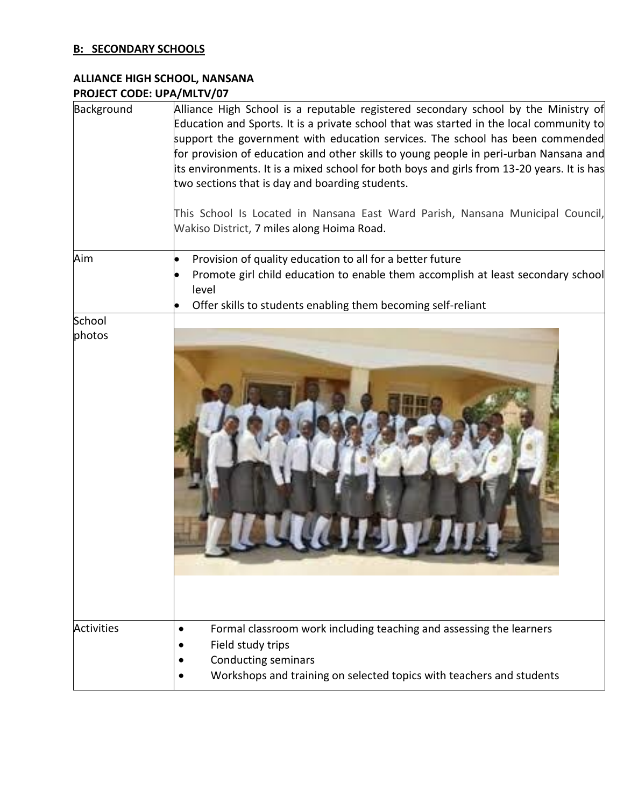## **B: SECONDARY SCHOOLS**

# **ALLIANCE HIGH SCHOOL, NANSANA PROJECT CODE: UPA/MLTV/07**

| Background        | Alliance High School is a reputable registered secondary school by the Ministry of<br>Education and Sports. It is a private school that was started in the local community to<br>support the government with education services. The school has been commended<br>for provision of education and other skills to young people in peri-urban Nansana and<br>its environments. It is a mixed school for both boys and girls from 13-20 years. It is has<br>two sections that is day and boarding students.<br>This School Is Located in Nansana East Ward Parish, Nansana Municipal Council,<br>Wakiso District, 7 miles along Hoima Road. |
|-------------------|------------------------------------------------------------------------------------------------------------------------------------------------------------------------------------------------------------------------------------------------------------------------------------------------------------------------------------------------------------------------------------------------------------------------------------------------------------------------------------------------------------------------------------------------------------------------------------------------------------------------------------------|
| Aim               | Provision of quality education to all for a better future<br>$\bullet$<br>Promote girl child education to enable them accomplish at least secondary school<br>$\bullet$<br>level<br>Offer skills to students enabling them becoming self-reliant<br>$\bullet$                                                                                                                                                                                                                                                                                                                                                                            |
| School<br>photos  |                                                                                                                                                                                                                                                                                                                                                                                                                                                                                                                                                                                                                                          |
| <b>Activities</b> | Formal classroom work including teaching and assessing the learners<br>$\bullet$<br>Field study trips<br><b>Conducting seminars</b><br>Workshops and training on selected topics with teachers and students                                                                                                                                                                                                                                                                                                                                                                                                                              |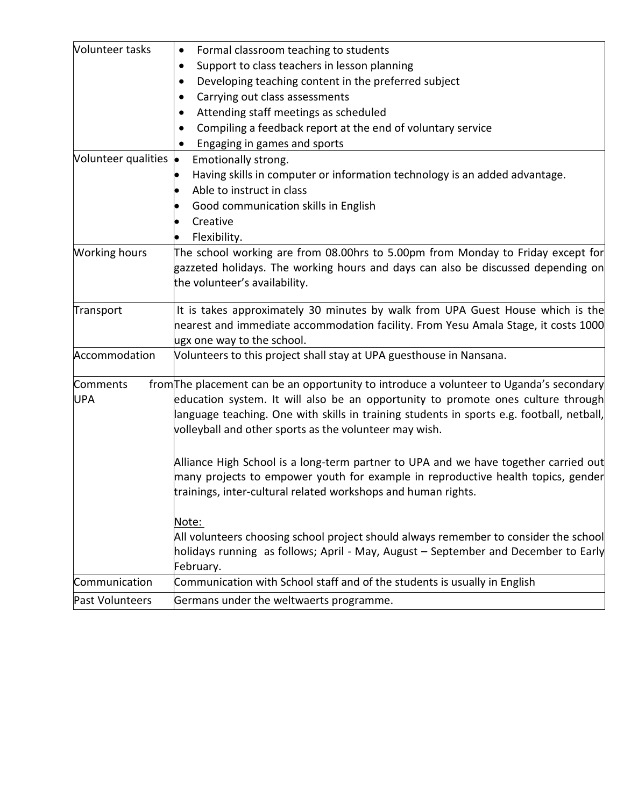| Volunteer tasks        | Formal classroom teaching to students                                                                                                                                                                                                                                                                                              |
|------------------------|------------------------------------------------------------------------------------------------------------------------------------------------------------------------------------------------------------------------------------------------------------------------------------------------------------------------------------|
|                        | Support to class teachers in lesson planning                                                                                                                                                                                                                                                                                       |
|                        | Developing teaching content in the preferred subject                                                                                                                                                                                                                                                                               |
|                        | Carrying out class assessments                                                                                                                                                                                                                                                                                                     |
|                        | Attending staff meetings as scheduled                                                                                                                                                                                                                                                                                              |
|                        | Compiling a feedback report at the end of voluntary service                                                                                                                                                                                                                                                                        |
|                        | Engaging in games and sports                                                                                                                                                                                                                                                                                                       |
| Volunteer qualities •  | Emotionally strong.                                                                                                                                                                                                                                                                                                                |
|                        | Having skills in computer or information technology is an added advantage.                                                                                                                                                                                                                                                         |
|                        | Able to instruct in class                                                                                                                                                                                                                                                                                                          |
|                        | Good communication skills in English                                                                                                                                                                                                                                                                                               |
|                        | Creative                                                                                                                                                                                                                                                                                                                           |
|                        | Flexibility.                                                                                                                                                                                                                                                                                                                       |
| <b>Working hours</b>   | The school working are from 08.00hrs to 5.00pm from Monday to Friday except for<br>gazzeted holidays. The working hours and days can also be discussed depending on<br>the volunteer's availability.                                                                                                                               |
| Transport              | It is takes approximately 30 minutes by walk from UPA Guest House which is the                                                                                                                                                                                                                                                     |
|                        | nearest and immediate accommodation facility. From Yesu Amala Stage, it costs 1000                                                                                                                                                                                                                                                 |
|                        | ugx one way to the school.                                                                                                                                                                                                                                                                                                         |
| Accommodation          | Volunteers to this project shall stay at UPA guesthouse in Nansana.                                                                                                                                                                                                                                                                |
| Comments<br><b>UPA</b> | from The placement can be an opportunity to introduce a volunteer to Uganda's secondary<br>education system. It will also be an opportunity to promote ones culture through<br>language teaching. One with skills in training students in sports e.g. football, netball,<br>volleyball and other sports as the volunteer may wish. |
|                        | Alliance High School is a long-term partner to UPA and we have together carried out<br>many projects to empower youth for example in reproductive health topics, gender<br>trainings, inter-cultural related workshops and human rights.                                                                                           |
|                        | Note:<br>All volunteers choosing school project should always remember to consider the school<br>holidays running as follows; April - May, August - September and December to Early<br>February.                                                                                                                                   |
| Communication          | Communication with School staff and of the students is usually in English                                                                                                                                                                                                                                                          |
| Past Volunteers        | Germans under the weltwaerts programme.                                                                                                                                                                                                                                                                                            |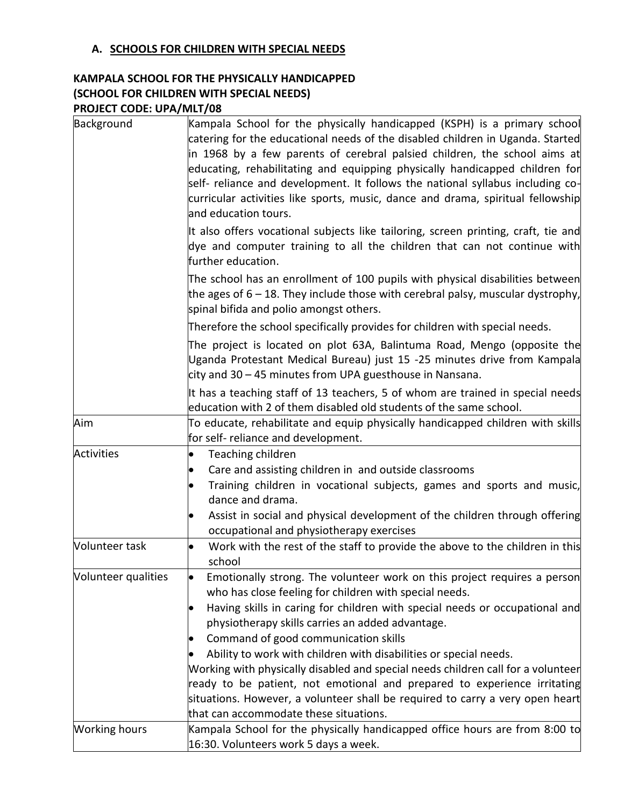## **A. SCHOOLS FOR CHILDREN WITH SPECIAL NEEDS**

## **KAMPALA SCHOOL FOR THE PHYSICALLY HANDICAPPED (SCHOOL FOR CHILDREN WITH SPECIAL NEEDS) PROJECT CODE: UPA/MLT/08**

| Background           | Kampala School for the physically handicapped (KSPH) is a primary school<br>catering for the educational needs of the disabled children in Uganda. Started<br>in 1968 by a few parents of cerebral palsied children, the school aims at<br>educating, rehabilitating and equipping physically handicapped children for<br>self- reliance and development. It follows the national syllabus including co-<br>curricular activities like sports, music, dance and drama, spiritual fellowship<br>and education tours.                                                                                                                                                                                     |
|----------------------|---------------------------------------------------------------------------------------------------------------------------------------------------------------------------------------------------------------------------------------------------------------------------------------------------------------------------------------------------------------------------------------------------------------------------------------------------------------------------------------------------------------------------------------------------------------------------------------------------------------------------------------------------------------------------------------------------------|
|                      | It also offers vocational subjects like tailoring, screen printing, craft, tie and<br>dye and computer training to all the children that can not continue with<br>further education.                                                                                                                                                                                                                                                                                                                                                                                                                                                                                                                    |
|                      | The school has an enrollment of 100 pupils with physical disabilities between<br>the ages of 6 – 18. They include those with cerebral palsy, muscular dystrophy,<br>spinal bifida and polio amongst others.                                                                                                                                                                                                                                                                                                                                                                                                                                                                                             |
|                      | Therefore the school specifically provides for children with special needs.                                                                                                                                                                                                                                                                                                                                                                                                                                                                                                                                                                                                                             |
|                      | The project is located on plot 63A, Balintuma Road, Mengo (opposite the<br>Uganda Protestant Medical Bureau) just 15 -25 minutes drive from Kampala<br>city and 30 – 45 minutes from UPA guesthouse in Nansana.                                                                                                                                                                                                                                                                                                                                                                                                                                                                                         |
|                      | It has a teaching staff of 13 teachers, 5 of whom are trained in special needs<br>education with 2 of them disabled old students of the same school.                                                                                                                                                                                                                                                                                                                                                                                                                                                                                                                                                    |
| Aim                  | To educate, rehabilitate and equip physically handicapped children with skills<br>for self- reliance and development.                                                                                                                                                                                                                                                                                                                                                                                                                                                                                                                                                                                   |
| Activities           | Teaching children<br>Care and assisting children in and outside classrooms<br>Training children in vocational subjects, games and sports and music,<br>dance and drama.<br>Assist in social and physical development of the children through offering<br>occupational and physiotherapy exercises                                                                                                                                                                                                                                                                                                                                                                                                       |
| Volunteer task       | Work with the rest of the staff to provide the above to the children in this<br>school                                                                                                                                                                                                                                                                                                                                                                                                                                                                                                                                                                                                                  |
| Volunteer qualities  | Emotionally strong. The volunteer work on this project requires a person<br>$\bullet$<br>who has close feeling for children with special needs.<br>Having skills in caring for children with special needs or occupational and<br>physiotherapy skills carries an added advantage.<br>Command of good communication skills<br>$\bullet$<br>Ability to work with children with disabilities or special needs.<br>Working with physically disabled and special needs children call for a volunteer<br>ready to be patient, not emotional and prepared to experience irritating<br>situations. However, a volunteer shall be required to carry a very open heart<br>that can accommodate these situations. |
| <b>Working hours</b> | Kampala School for the physically handicapped office hours are from 8:00 to<br>16:30. Volunteers work 5 days a week.                                                                                                                                                                                                                                                                                                                                                                                                                                                                                                                                                                                    |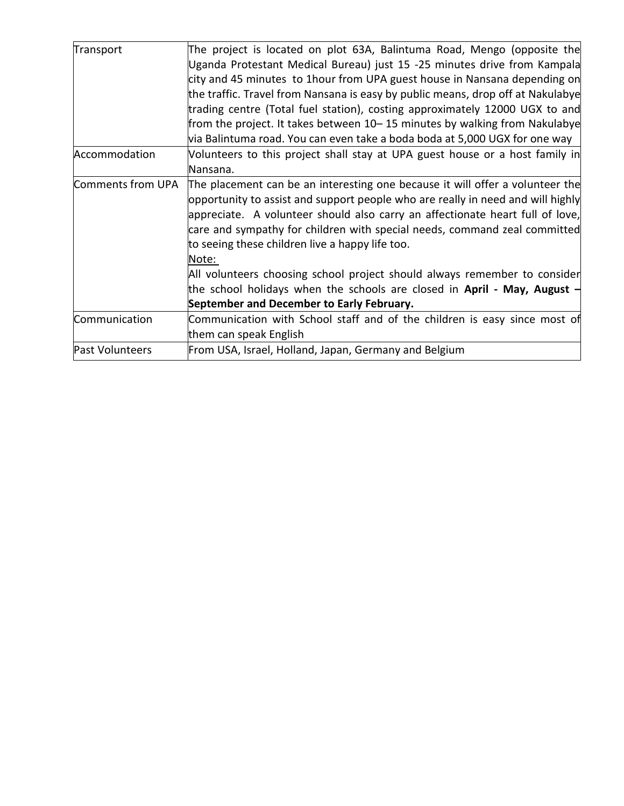| Transport         | The project is located on plot 63A, Balintuma Road, Mengo (opposite the         |
|-------------------|---------------------------------------------------------------------------------|
|                   | Uganda Protestant Medical Bureau) just 15 -25 minutes drive from Kampala        |
|                   | city and 45 minutes to 1hour from UPA guest house in Nansana depending on       |
|                   | the traffic. Travel from Nansana is easy by public means, drop off at Nakulabye |
|                   | trading centre (Total fuel station), costing approximately 12000 UGX to and     |
|                   | from the project. It takes between 10–15 minutes by walking from Nakulabye      |
|                   | via Balintuma road. You can even take a boda boda at 5,000 UGX for one way      |
| Accommodation     | Volunteers to this project shall stay at UPA guest house or a host family in    |
|                   | Nansana.                                                                        |
| Comments from UPA | The placement can be an interesting one because it will offer a volunteer the   |
|                   | opportunity to assist and support people who are really in need and will highly |
|                   | appreciate. A volunteer should also carry an affectionate heart full of love,   |
|                   | care and sympathy for children with special needs, command zeal committed       |
|                   | to seeing these children live a happy life too.                                 |
|                   | Note:                                                                           |
|                   | All volunteers choosing school project should always remember to consider       |
|                   | the school holidays when the schools are closed in April - May, August -        |
|                   | September and December to Early February.                                       |
| Communication     | Communication with School staff and of the children is easy since most of       |
|                   | them can speak English                                                          |
| Past Volunteers   | From USA, Israel, Holland, Japan, Germany and Belgium                           |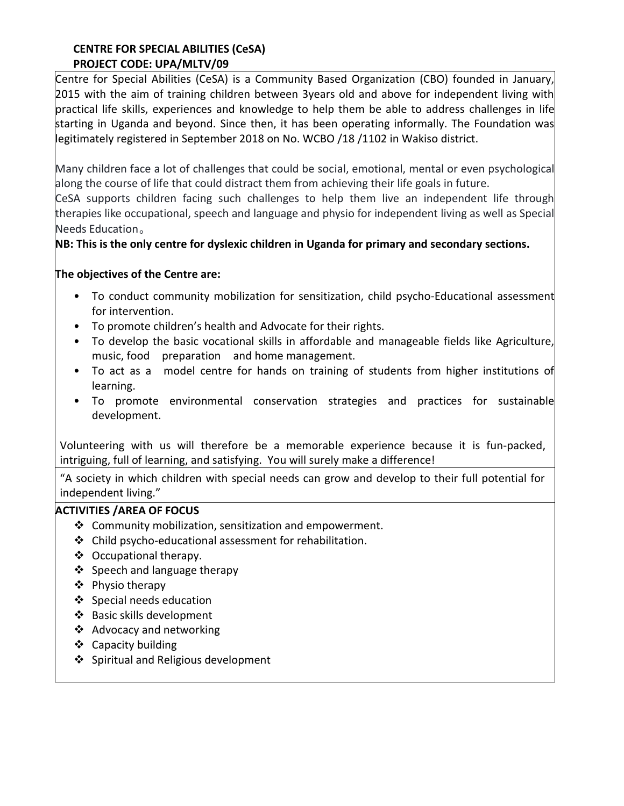## **CENTRE FOR SPECIAL ABILITIES (CeSA) PROJECT CODE: UPA/MLTV/09**

Centre for Special Abilities (CeSA) is a Community Based Organization (CBO) founded in January, 2015 with the aim of training children between 3years old and above for independent living with practical life skills, experiences and knowledge to help them be able to address challenges in life starting in Uganda and beyond. Since then, it has been operating informally. The Foundation was legitimately registered in September 2018 on No. WCBO /18 /1102 in Wakiso district.

Many children face a lot of challenges that could be social, emotional, mental or even psychological along the course of life that could distract them from achieving their life goals in future.

CeSA supports children facing such challenges to help them live an independent life through therapies like occupational, speech and language and physio for independent living as well as Special Needs Education。

## **NB: This is the only centre for dyslexic children in Uganda for primary and secondary sections.**

## **The objectives of the Centre are:**

- To conduct community mobilization for sensitization, child psycho-Educational assessment for intervention.
- To promote children's health and Advocate for their rights.
- To develop the basic vocational skills in affordable and manageable fields like Agriculture, music, food preparation and home management.
- To act as a model centre for hands on training of students from higher institutions of learning.
- To promote environmental conservation strategies and practices for sustainable development.

Volunteering with us will therefore be a memorable experience because it is fun-packed, intriguing, full of learning, and satisfying. You will surely make a difference!

"A society in which children with special needs can grow and develop to their full potential for independent living."

## **ACTIVITIES /AREA OF FOCUS**

- ❖ Community mobilization, sensitization and empowerment.
- ❖ Child psycho-educational assessment for rehabilitation.
- ❖ Occupational therapy.
- ❖ Speech and language therapy
- ❖ Physio therapy
- ❖ Special needs education
- ❖ Basic skills development
- ❖ Advocacy and networking
- ❖ Capacity building
- ❖ Spiritual and Religious development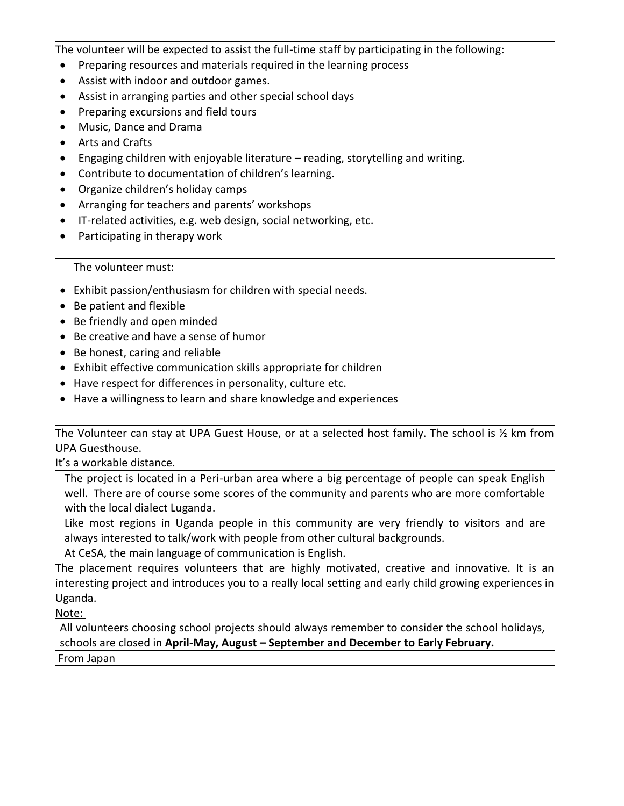The volunteer will be expected to assist the full-time staff by participating in the following:

- Preparing resources and materials required in the learning process
- Assist with indoor and outdoor games.
- Assist in arranging parties and other special school days
- Preparing excursions and field tours
- Music, Dance and Drama
- Arts and Crafts
- Engaging children with enjoyable literature reading, storytelling and writing.
- Contribute to documentation of children's learning.
- Organize children's holiday camps
- Arranging for teachers and parents' workshops
- IT-related activities, e.g. web design, social networking, etc.
- Participating in therapy work

#### The volunteer must:

- Exhibit passion/enthusiasm for children with special needs.
- Be patient and flexible
- Be friendly and open minded
- Be creative and have a sense of humor
- Be honest, caring and reliable
- Exhibit effective communication skills appropriate for children
- Have respect for differences in personality, culture etc.
- Have a willingness to learn and share knowledge and experiences

The Volunteer can stay at UPA Guest House, or at a selected host family. The school is ½ km from UPA Guesthouse.

It's a workable distance.

The project is located in a Peri-urban area where a big percentage of people can speak English well. There are of course some scores of the community and parents who are more comfortable with the local dialect Luganda.

Like most regions in Uganda people in this community are very friendly to visitors and are always interested to talk/work with people from other cultural backgrounds.

At CeSA, the main language of communication is English.

The placement requires volunteers that are highly motivated, creative and innovative. It is an interesting project and introduces you to a really local setting and early child growing experiences in Uganda.

Note:

All volunteers choosing school projects should always remember to consider the school holidays, schools are closed in **April-May, August – September and December to Early February.** From Japan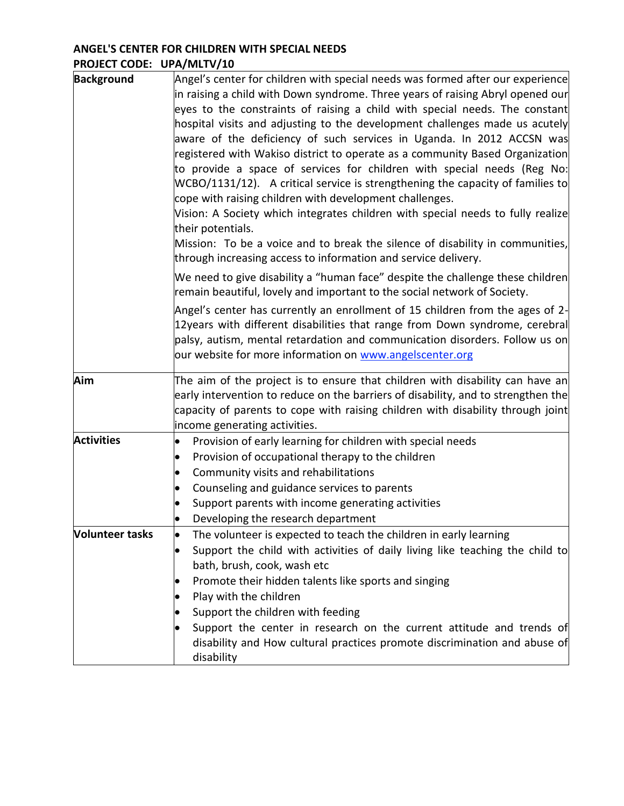## **ANGEL'S CENTER FOR CHILDREN WITH SPECIAL NEEDS PROJECT CODE: UPA/MLTV/10**

| Background             | Angel's center for children with special needs was formed after our experience<br>in raising a child with Down syndrome. Three years of raising Abryl opened our<br>eyes to the constraints of raising a child with special needs. The constant<br>hospital visits and adjusting to the development challenges made us acutely<br>aware of the deficiency of such services in Uganda. In 2012 ACCSN was<br>registered with Wakiso district to operate as a community Based Organization<br>to provide a space of services for children with special needs (Reg No:<br>$WCBO/1131/12$ ). A critical service is strengthening the capacity of families to<br>cope with raising children with development challenges.<br>Vision: A Society which integrates children with special needs to fully realize<br>their potentials.<br>Mission: To be a voice and to break the silence of disability in communities,<br>through increasing access to information and service delivery.<br>We need to give disability a "human face" despite the challenge these children<br>remain beautiful, lovely and important to the social network of Society.<br>Angel's center has currently an enrollment of 15 children from the ages of 2- |
|------------------------|------------------------------------------------------------------------------------------------------------------------------------------------------------------------------------------------------------------------------------------------------------------------------------------------------------------------------------------------------------------------------------------------------------------------------------------------------------------------------------------------------------------------------------------------------------------------------------------------------------------------------------------------------------------------------------------------------------------------------------------------------------------------------------------------------------------------------------------------------------------------------------------------------------------------------------------------------------------------------------------------------------------------------------------------------------------------------------------------------------------------------------------------------------------------------------------------------------------------------|
|                        | 12years with different disabilities that range from Down syndrome, cerebral<br>palsy, autism, mental retardation and communication disorders. Follow us on<br>our website for more information on www.angelscenter.org                                                                                                                                                                                                                                                                                                                                                                                                                                                                                                                                                                                                                                                                                                                                                                                                                                                                                                                                                                                                       |
| Aim                    | The aim of the project is to ensure that children with disability can have an<br>$ $ early intervention to reduce on the barriers of disability, and to strengthen the<br>capacity of parents to cope with raising children with disability through joint<br>income generating activities.                                                                                                                                                                                                                                                                                                                                                                                                                                                                                                                                                                                                                                                                                                                                                                                                                                                                                                                                   |
| <b>Activities</b>      | Provision of early learning for children with special needs<br>$\bullet$<br>Provision of occupational therapy to the children<br>$\bullet$<br>Community visits and rehabilitations<br>$\bullet$<br>Counseling and guidance services to parents<br>$\bullet$<br>Support parents with income generating activities<br>Developing the research department<br>$\bullet$                                                                                                                                                                                                                                                                                                                                                                                                                                                                                                                                                                                                                                                                                                                                                                                                                                                          |
| <b>Volunteer tasks</b> | The volunteer is expected to teach the children in early learning<br>Support the child with activities of daily living like teaching the child to<br>bath, brush, cook, wash etc<br>Promote their hidden talents like sports and singing<br>Play with the children<br>Support the children with feeding<br>Support the center in research on the current attitude and trends of<br>disability and How cultural practices promote discrimination and abuse of<br>disability                                                                                                                                                                                                                                                                                                                                                                                                                                                                                                                                                                                                                                                                                                                                                   |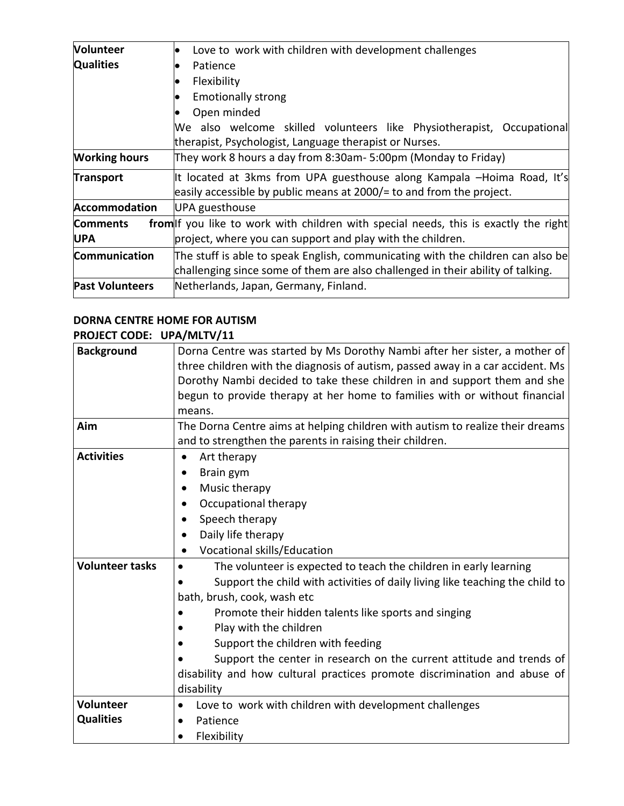| <b>Volunteer</b>       | Love to work with children with development challenges                               |
|------------------------|--------------------------------------------------------------------------------------|
| <b>Qualities</b>       | Patience                                                                             |
|                        | Flexibility                                                                          |
|                        | <b>Emotionally strong</b>                                                            |
|                        | Open minded                                                                          |
|                        | We also welcome skilled volunteers like Physiotherapist, Occupational                |
|                        | therapist, Psychologist, Language therapist or Nurses.                               |
| <b>Working hours</b>   | They work 8 hours a day from 8:30am- 5:00pm (Monday to Friday)                       |
| <b>Transport</b>       | It located at 3kms from UPA guesthouse along Kampala -Hoima Road, It's               |
|                        | easily accessible by public means at 2000/= to and from the project.                 |
| <b>Accommodation</b>   | UPA guesthouse                                                                       |
| <b>Comments</b>        | from of you like to work with children with special needs, this is exactly the right |
| <b>UPA</b>             | project, where you can support and play with the children.                           |
| Communication          | The stuff is able to speak English, communicating with the children can also be      |
|                        | challenging since some of them are also challenged in their ability of talking.      |
| <b>Past Volunteers</b> | Netherlands, Japan, Germany, Finland.                                                |
|                        |                                                                                      |

#### **DORNA CENTRE HOME FOR AUTISM PROJECT CODE: UPA/MLTV/11**

| ייריים כשטיי           | ULA/IVILI V/ 11                                                                |
|------------------------|--------------------------------------------------------------------------------|
| <b>Background</b>      | Dorna Centre was started by Ms Dorothy Nambi after her sister, a mother of     |
|                        | three children with the diagnosis of autism, passed away in a car accident. Ms |
|                        | Dorothy Nambi decided to take these children in and support them and she       |
|                        | begun to provide therapy at her home to families with or without financial     |
|                        | means.                                                                         |
| Aim                    | The Dorna Centre aims at helping children with autism to realize their dreams  |
|                        | and to strengthen the parents in raising their children.                       |
| <b>Activities</b>      | Art therapy<br>$\bullet$                                                       |
|                        | Brain gym<br>٠                                                                 |
|                        | Music therapy<br>$\bullet$                                                     |
|                        | Occupational therapy                                                           |
|                        | Speech therapy                                                                 |
|                        | Daily life therapy                                                             |
|                        | <b>Vocational skills/Education</b>                                             |
| <b>Volunteer tasks</b> | The volunteer is expected to teach the children in early learning              |
|                        | Support the child with activities of daily living like teaching the child to   |
|                        | bath, brush, cook, wash etc                                                    |
|                        | Promote their hidden talents like sports and singing                           |
|                        | Play with the children                                                         |
|                        | Support the children with feeding                                              |
|                        | Support the center in research on the current attitude and trends of           |
|                        | disability and how cultural practices promote discrimination and abuse of      |
|                        | disability                                                                     |
| Volunteer              | Love to work with children with development challenges<br>$\bullet$            |
| <b>Qualities</b>       | Patience                                                                       |
|                        | Flexibility                                                                    |
|                        |                                                                                |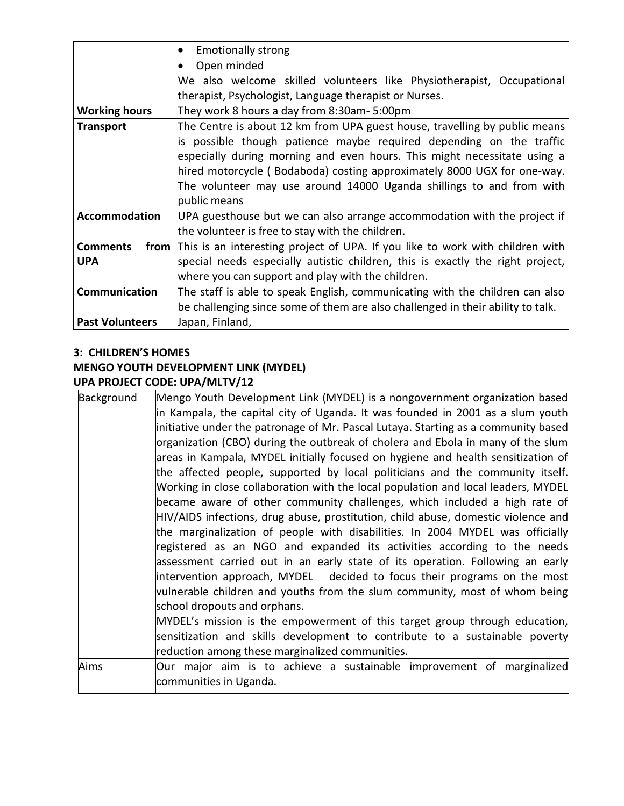|                        | <b>Emotionally strong</b><br>$\bullet$                                             |
|------------------------|------------------------------------------------------------------------------------|
|                        | Open minded                                                                        |
|                        | We also welcome skilled volunteers like Physiotherapist, Occupational              |
|                        | therapist, Psychologist, Language therapist or Nurses.                             |
| <b>Working hours</b>   | They work 8 hours a day from 8:30am- 5:00pm                                        |
| <b>Transport</b>       | The Centre is about 12 km from UPA guest house, travelling by public means         |
|                        | is possible though patience maybe required depending on the traffic                |
|                        | especially during morning and even hours. This might necessitate using a           |
|                        | hired motorcycle (Bodaboda) costing approximately 8000 UGX for one-way.            |
|                        | The volunteer may use around 14000 Uganda shillings to and from with               |
|                        | public means                                                                       |
| <b>Accommodation</b>   | UPA guesthouse but we can also arrange accommodation with the project if           |
|                        | the volunteer is free to stay with the children.                                   |
| <b>Comments</b>        | from This is an interesting project of UPA. If you like to work with children with |
| <b>UPA</b>             | special needs especially autistic children, this is exactly the right project,     |
|                        | where you can support and play with the children.                                  |
| Communication          | The staff is able to speak English, communicating with the children can also       |
|                        | be challenging since some of them are also challenged in their ability to talk.    |
| <b>Past Volunteers</b> | Japan, Finland,                                                                    |

## **3: CHILDREN'S HOMES**

## **MENGO YOUTH DEVELOPMENT LINK (MYDEL) UPA PROJECT CODE: UPA/MLTV/12**

| Background | Mengo Youth Development Link (MYDEL) is a nongovernment organization based         |
|------------|------------------------------------------------------------------------------------|
|            | in Kampala, the capital city of Uganda. It was founded in 2001 as a slum youth     |
|            | initiative under the patronage of Mr. Pascal Lutaya. Starting as a community based |
|            | organization (CBO) during the outbreak of cholera and Ebola in many of the slum    |
|            | areas in Kampala, MYDEL initially focused on hygiene and health sensitization of   |
|            | the affected people, supported by local politicians and the community itself.      |
|            | Working in close collaboration with the local population and local leaders, MYDEL  |
|            | became aware of other community challenges, which included a high rate of          |
|            | HIV/AIDS infections, drug abuse, prostitution, child abuse, domestic violence and  |
|            | the marginalization of people with disabilities. In 2004 MYDEL was officially      |
|            | registered as an NGO and expanded its activities according to the needs            |
|            | assessment carried out in an early state of its operation. Following an early      |
|            | intervention approach, MYDEL decided to focus their programs on the most           |
|            | vulnerable children and youths from the slum community, most of whom being         |
|            | school dropouts and orphans.                                                       |
|            | MYDEL's mission is the empowerment of this target group through education,         |
|            | sensitization and skills development to contribute to a sustainable poverty        |
|            | reduction among these marginalized communities.                                    |
| Aims       | Our major aim is to achieve a sustainable improvement of marginalized              |
|            | communities in Uganda.                                                             |
|            |                                                                                    |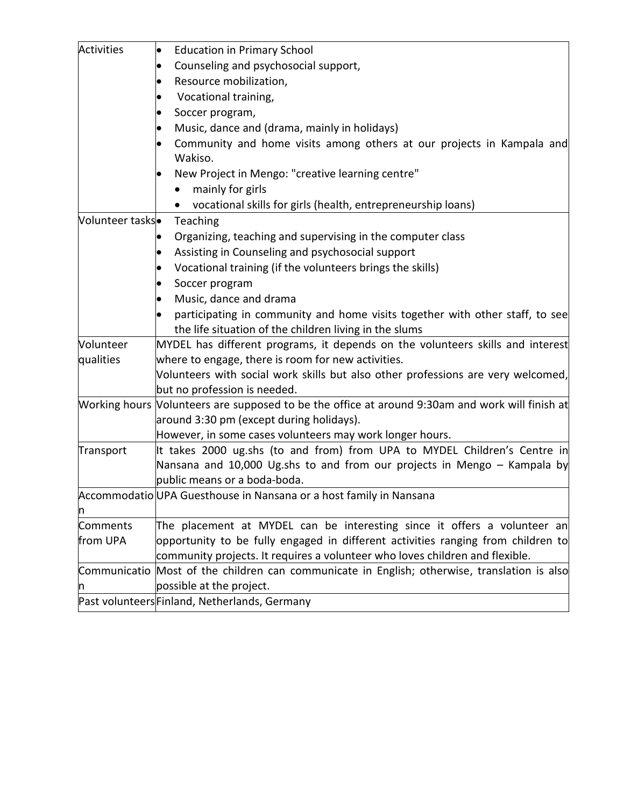| Activities      | <b>Education in Primary School</b>                                                              |
|-----------------|-------------------------------------------------------------------------------------------------|
|                 | Counseling and psychosocial support,<br>$\bullet$                                               |
|                 | Resource mobilization,                                                                          |
|                 | Vocational training,                                                                            |
|                 | Soccer program,                                                                                 |
|                 | Music, dance and (drama, mainly in holidays)                                                    |
|                 | Community and home visits among others at our projects in Kampala and                           |
|                 | Wakiso.                                                                                         |
|                 | New Project in Mengo: "creative learning centre"                                                |
|                 | mainly for girls                                                                                |
|                 | vocational skills for girls (health, entrepreneurship loans)                                    |
| Volunteer tasks | Teaching                                                                                        |
|                 | Organizing, teaching and supervising in the computer class                                      |
|                 | Assisting in Counseling and psychosocial support                                                |
|                 | Vocational training (if the volunteers brings the skills)                                       |
|                 | Soccer program                                                                                  |
|                 | Music, dance and drama                                                                          |
|                 | participating in community and home visits together with other staff, to see                    |
|                 | the life situation of the children living in the slums                                          |
| Volunteer       | MYDEL has different programs, it depends on the volunteers skills and interest                  |
| qualities       | where to engage, there is room for new activities.                                              |
|                 | Volunteers with social work skills but also other professions are very welcomed,                |
|                 | but no profession is needed.                                                                    |
|                 | Working hours Nolunteers are supposed to be the office at around 9:30am and work will finish at |
|                 | around 3:30 pm (except during holidays).                                                        |
|                 | However, in some cases volunteers may work longer hours.                                        |
| Transport       | It takes 2000 ug.shs (to and from) from UPA to MYDEL Children's Centre in                       |
|                 | Nansana and 10,000 Ug.shs to and from our projects in Mengo - Kampala by                        |
|                 | public means or a boda-boda.                                                                    |
|                 | Accommodatio UPA Guesthouse in Nansana or a host family in Nansana                              |
| n               |                                                                                                 |
| Comments        | The placement at MYDEL can be interesting since it offers a volunteer an                        |
| from UPA        | opportunity to be fully engaged in different activities ranging from children to                |
|                 | community projects. It requires a volunteer who loves children and flexible.                    |
|                 | Communicatio Most of the children can communicate in English; otherwise, translation is also    |
| n               | possible at the project.                                                                        |
|                 | Past volunteersFinland, Netherlands, Germany                                                    |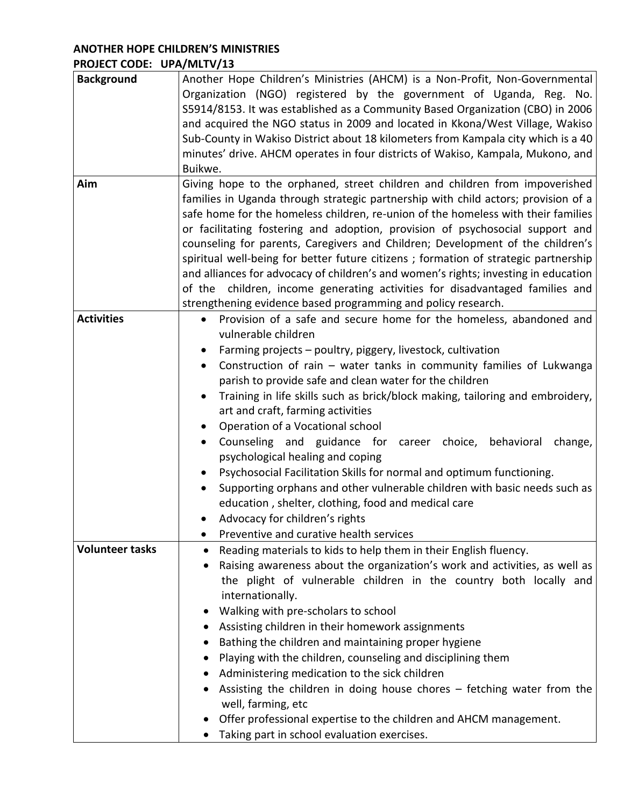## **ANOTHER HOPE CHILDREN'S MINISTRIES PROJECT CODE: UPA/MLTV/13**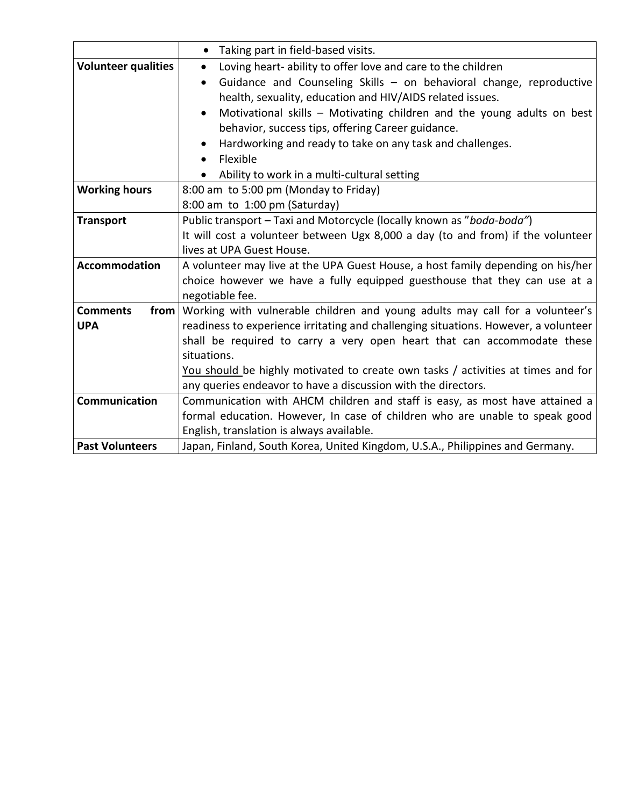|                            | Taking part in field-based visits.<br>$\bullet$                                     |
|----------------------------|-------------------------------------------------------------------------------------|
| <b>Volunteer qualities</b> | Loving heart-ability to offer love and care to the children<br>$\bullet$            |
|                            | Guidance and Counseling Skills - on behavioral change, reproductive<br>$\bullet$    |
|                            | health, sexuality, education and HIV/AIDS related issues.                           |
|                            | Motivational skills - Motivating children and the young adults on best<br>$\bullet$ |
|                            | behavior, success tips, offering Career guidance.                                   |
|                            | Hardworking and ready to take on any task and challenges.                           |
|                            | Flexible<br>$\bullet$                                                               |
|                            | Ability to work in a multi-cultural setting<br>$\bullet$                            |
| <b>Working hours</b>       | 8:00 am to 5:00 pm (Monday to Friday)                                               |
|                            | 8:00 am to 1:00 pm (Saturday)                                                       |
| <b>Transport</b>           | Public transport - Taxi and Motorcycle (locally known as "boda-boda")               |
|                            | It will cost a volunteer between Ugx 8,000 a day (to and from) if the volunteer     |
|                            | lives at UPA Guest House.                                                           |
| <b>Accommodation</b>       | A volunteer may live at the UPA Guest House, a host family depending on his/her     |
|                            | choice however we have a fully equipped guesthouse that they can use at a           |
|                            | negotiable fee.                                                                     |
| <b>Comments</b><br>from    | Working with vulnerable children and young adults may call for a volunteer's        |
| <b>UPA</b>                 | readiness to experience irritating and challenging situations. However, a volunteer |
|                            | shall be required to carry a very open heart that can accommodate these             |
|                            | situations.                                                                         |
|                            | You should be highly motivated to create own tasks / activities at times and for    |
|                            | any queries endeavor to have a discussion with the directors.                       |
| <b>Communication</b>       | Communication with AHCM children and staff is easy, as most have attained a         |
|                            | formal education. However, In case of children who are unable to speak good         |
|                            | English, translation is always available.                                           |
| <b>Past Volunteers</b>     | Japan, Finland, South Korea, United Kingdom, U.S.A., Philippines and Germany.       |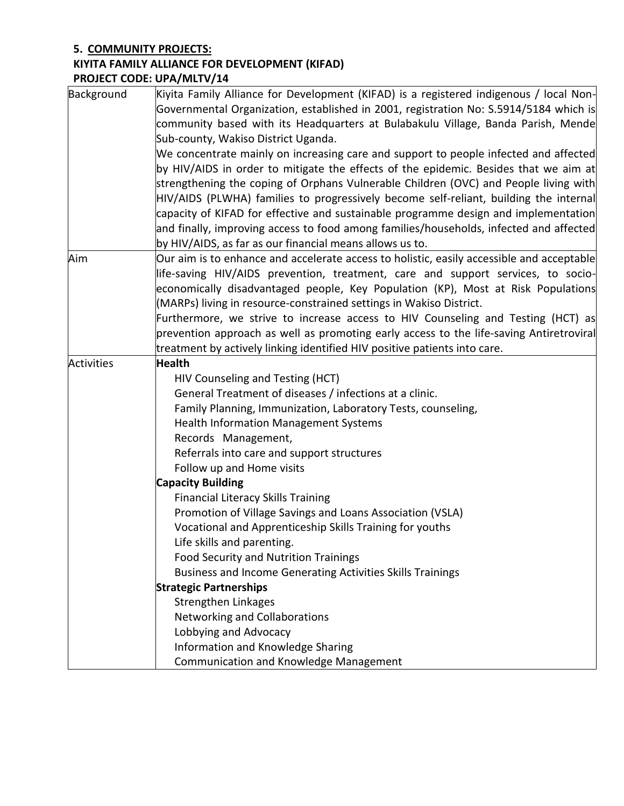# **5. COMMUNITY PROJECTS:**

# **KIYITA FAMILY ALLIANCE FOR DEVELOPMENT (KIFAD)**

**PROJECT CODE: UPA/MLTV/14**

| Background        | Kiyita Family Alliance for Development (KIFAD) is a registered indigenous / local Non-<br>Governmental Organization, established in 2001, registration No: S.5914/5184 which is<br>community based with its Headquarters at Bulabakulu Village, Banda Parish, Mende<br>Sub-county, Wakiso District Uganda.<br>We concentrate mainly on increasing care and support to people infected and affected<br>by HIV/AIDS in order to mitigate the effects of the epidemic. Besides that we aim at<br>strengthening the coping of Orphans Vulnerable Children (OVC) and People living with<br>HIV/AIDS (PLWHA) families to progressively become self-reliant, building the internal<br>capacity of KIFAD for effective and sustainable programme design and implementation           |
|-------------------|------------------------------------------------------------------------------------------------------------------------------------------------------------------------------------------------------------------------------------------------------------------------------------------------------------------------------------------------------------------------------------------------------------------------------------------------------------------------------------------------------------------------------------------------------------------------------------------------------------------------------------------------------------------------------------------------------------------------------------------------------------------------------|
|                   | and finally, improving access to food among families/households, infected and affected                                                                                                                                                                                                                                                                                                                                                                                                                                                                                                                                                                                                                                                                                       |
| Aim               | by HIV/AIDS, as far as our financial means allows us to.<br>Our aim is to enhance and accelerate access to holistic, easily accessible and acceptable<br>life-saving HIV/AIDS prevention, treatment, care and support services, to socio-<br>economically disadvantaged people, Key Population (KP), Most at Risk Populations<br>(MARPs) living in resource-constrained settings in Wakiso District.                                                                                                                                                                                                                                                                                                                                                                         |
|                   | Furthermore, we strive to increase access to HIV Counseling and Testing (HCT) as<br>prevention approach as well as promoting early access to the life-saving Antiretroviral<br>treatment by actively linking identified HIV positive patients into care.                                                                                                                                                                                                                                                                                                                                                                                                                                                                                                                     |
| <b>Activities</b> | <b>Health</b><br>HIV Counseling and Testing (HCT)<br>General Treatment of diseases / infections at a clinic.<br>Family Planning, Immunization, Laboratory Tests, counseling,<br><b>Health Information Management Systems</b><br>Records Management,<br>Referrals into care and support structures<br>Follow up and Home visits<br><b>Capacity Building</b><br><b>Financial Literacy Skills Training</b><br>Promotion of Village Savings and Loans Association (VSLA)<br>Vocational and Apprenticeship Skills Training for youths<br>Life skills and parenting.<br><b>Food Security and Nutrition Trainings</b><br>Business and Income Generating Activities Skills Trainings<br><b>Strategic Partnerships</b><br>Strengthen Linkages<br><b>Networking and Collaborations</b> |
|                   | Lobbying and Advocacy<br>Information and Knowledge Sharing<br>Communication and Knowledge Management                                                                                                                                                                                                                                                                                                                                                                                                                                                                                                                                                                                                                                                                         |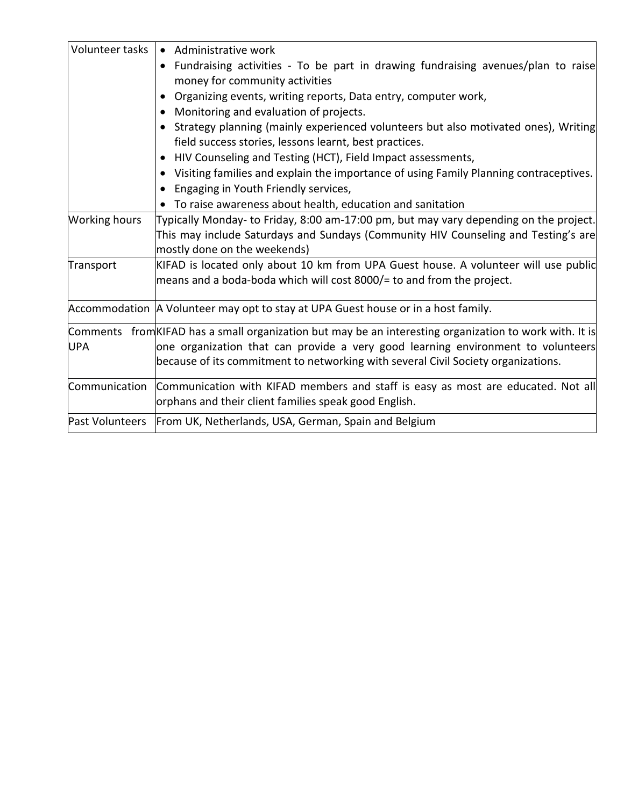| • Administrative work                                                                                   |
|---------------------------------------------------------------------------------------------------------|
| Fundraising activities - To be part in drawing fundraising avenues/plan to raise                        |
| money for community activities                                                                          |
| Organizing events, writing reports, Data entry, computer work,<br>٠                                     |
| Monitoring and evaluation of projects.<br>$\bullet$                                                     |
| Strategy planning (mainly experienced volunteers but also motivated ones), Writing<br>$\bullet$         |
| field success stories, lessons learnt, best practices.                                                  |
| HIV Counseling and Testing (HCT), Field Impact assessments,<br>$\bullet$                                |
| Visiting families and explain the importance of using Family Planning contraceptives.<br>$\bullet$      |
| Engaging in Youth Friendly services,<br>$\bullet$                                                       |
| • To raise awareness about health, education and sanitation                                             |
| Typically Monday-to Friday, 8:00 am-17:00 pm, but may vary depending on the project.                    |
| This may include Saturdays and Sundays (Community HIV Counseling and Testing's are                      |
| mostly done on the weekends)                                                                            |
| KIFAD is located only about 10 km from UPA Guest house. A volunteer will use publid                     |
| means and a boda-boda which will cost 8000/= to and from the project.                                   |
| Accommodation   A Volunteer may opt to stay at UPA Guest house or in a host family.                     |
| Comments from KIFAD has a small organization but may be an interesting organization to work with. It is |
| one organization that can provide a very good learning environment to volunteers                        |
| because of its commitment to networking with several Civil Society organizations.                       |
| Communication   Communication with KIFAD members and staff is easy as most are educated. Not all        |
| orphans and their client families speak good English.                                                   |
| From UK, Netherlands, USA, German, Spain and Belgium                                                    |
|                                                                                                         |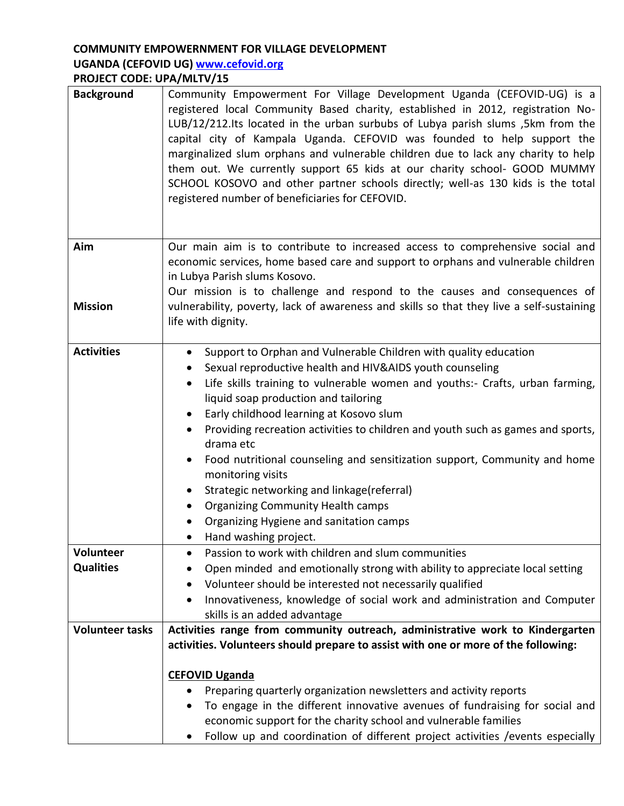## **COMMUNITY EMPOWERNMENT FOR VILLAGE DEVELOPMENT UGANDA (CEFOVID UG) [www.cefovid.org](http://www.cefovid.org/) PROJECT CODE: UPA/MLTV/15**

| <b>Background</b>      | Community Empowerment For Village Development Uganda (CEFOVID-UG) is a<br>registered local Community Based charity, established in 2012, registration No-<br>LUB/12/212.Its located in the urban surbubs of Lubya parish slums ,5km from the<br>capital city of Kampala Uganda. CEFOVID was founded to help support the<br>marginalized slum orphans and vulnerable children due to lack any charity to help<br>them out. We currently support 65 kids at our charity school- GOOD MUMMY<br>SCHOOL KOSOVO and other partner schools directly; well-as 130 kids is the total<br>registered number of beneficiaries for CEFOVID.                                                            |
|------------------------|-------------------------------------------------------------------------------------------------------------------------------------------------------------------------------------------------------------------------------------------------------------------------------------------------------------------------------------------------------------------------------------------------------------------------------------------------------------------------------------------------------------------------------------------------------------------------------------------------------------------------------------------------------------------------------------------|
| Aim                    | Our main aim is to contribute to increased access to comprehensive social and<br>economic services, home based care and support to orphans and vulnerable children<br>in Lubya Parish slums Kosovo.                                                                                                                                                                                                                                                                                                                                                                                                                                                                                       |
| <b>Mission</b>         | Our mission is to challenge and respond to the causes and consequences of<br>vulnerability, poverty, lack of awareness and skills so that they live a self-sustaining<br>life with dignity.                                                                                                                                                                                                                                                                                                                                                                                                                                                                                               |
| <b>Activities</b>      | Support to Orphan and Vulnerable Children with quality education<br>$\bullet$<br>Sexual reproductive health and HIV&AIDS youth counseling<br>$\bullet$<br>Life skills training to vulnerable women and youths:- Crafts, urban farming,<br>liquid soap production and tailoring<br>Early childhood learning at Kosovo slum<br>Providing recreation activities to children and youth such as games and sports,<br>drama etc<br>Food nutritional counseling and sensitization support, Community and home<br>monitoring visits<br>Strategic networking and linkage(referral)<br><b>Organizing Community Health camps</b><br>Organizing Hygiene and sanitation camps<br>Hand washing project. |
| Volunteer              | Passion to work with children and slum communities<br>$\bullet$                                                                                                                                                                                                                                                                                                                                                                                                                                                                                                                                                                                                                           |
| <b>Qualities</b>       | Open minded and emotionally strong with ability to appreciate local setting<br>Volunteer should be interested not necessarily qualified                                                                                                                                                                                                                                                                                                                                                                                                                                                                                                                                                   |
|                        | Innovativeness, knowledge of social work and administration and Computer<br>skills is an added advantage                                                                                                                                                                                                                                                                                                                                                                                                                                                                                                                                                                                  |
| <b>Volunteer tasks</b> | Activities range from community outreach, administrative work to Kindergarten                                                                                                                                                                                                                                                                                                                                                                                                                                                                                                                                                                                                             |
|                        | activities. Volunteers should prepare to assist with one or more of the following:                                                                                                                                                                                                                                                                                                                                                                                                                                                                                                                                                                                                        |
|                        | <b>CEFOVID Uganda</b><br>Preparing quarterly organization newsletters and activity reports<br>To engage in the different innovative avenues of fundraising for social and<br>economic support for the charity school and vulnerable families<br>Follow up and coordination of different project activities / events especially<br>$\bullet$                                                                                                                                                                                                                                                                                                                                               |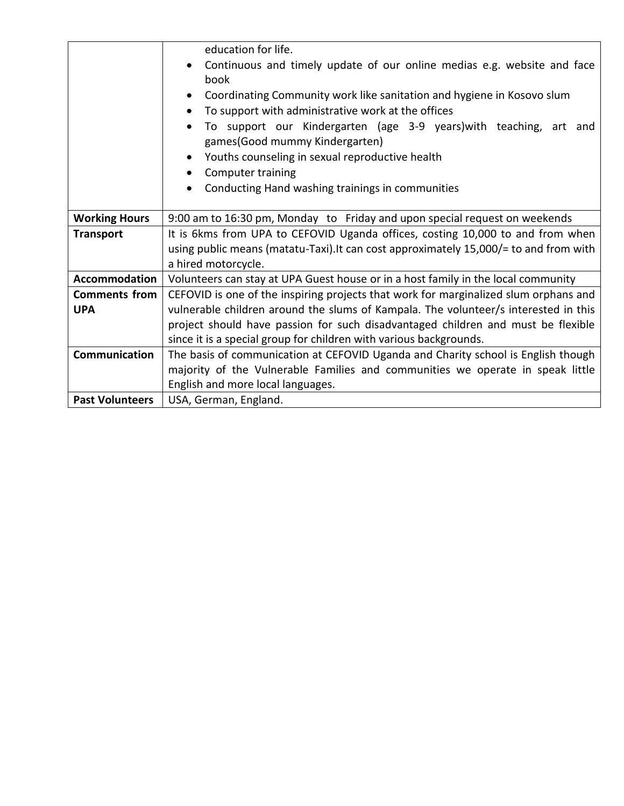|                        | education for life.                                                                   |  |
|------------------------|---------------------------------------------------------------------------------------|--|
|                        | Continuous and timely update of our online medias e.g. website and face               |  |
|                        | book                                                                                  |  |
|                        | Coordinating Community work like sanitation and hygiene in Kosovo slum                |  |
|                        | To support with administrative work at the offices<br>$\bullet$                       |  |
|                        | To support our Kindergarten (age 3-9 years) with teaching, art and                    |  |
|                        | games(Good mummy Kindergarten)                                                        |  |
|                        | Youths counseling in sexual reproductive health                                       |  |
|                        | Computer training                                                                     |  |
|                        | Conducting Hand washing trainings in communities                                      |  |
|                        |                                                                                       |  |
| <b>Working Hours</b>   | 9:00 am to 16:30 pm, Monday to Friday and upon special request on weekends            |  |
| <b>Transport</b>       | It is 6kms from UPA to CEFOVID Uganda offices, costing 10,000 to and from when        |  |
|                        | using public means (matatu-Taxi). It can cost approximately 15,000/= to and from with |  |
|                        | a hired motorcycle.                                                                   |  |
| Accommodation          | Volunteers can stay at UPA Guest house or in a host family in the local community     |  |
| <b>Comments from</b>   | CEFOVID is one of the inspiring projects that work for marginalized slum orphans and  |  |
| <b>UPA</b>             | vulnerable children around the slums of Kampala. The volunteer/s interested in this   |  |
|                        | project should have passion for such disadvantaged children and must be flexible      |  |
|                        | since it is a special group for children with various backgrounds.                    |  |
| Communication          | The basis of communication at CEFOVID Uganda and Charity school is English though     |  |
|                        | majority of the Vulnerable Families and communities we operate in speak little        |  |
|                        | English and more local languages.                                                     |  |
| <b>Past Volunteers</b> | USA, German, England.                                                                 |  |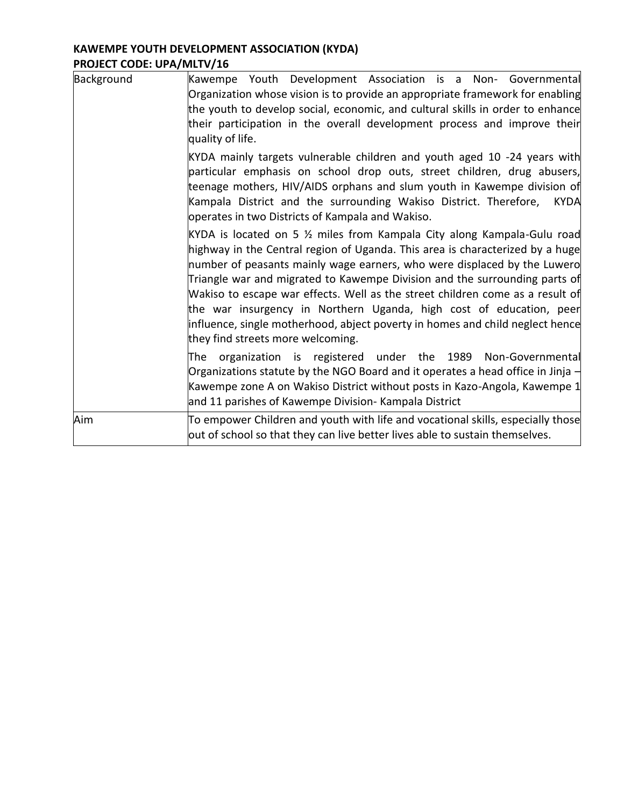# **KAWEMPE YOUTH DEVELOPMENT ASSOCIATION (KYDA) PROJECT CODE: UPA/MLTV/16**

| Background | Kawempe Youth Development Association is a Non- Governmental<br>Organization whose vision is to provide an appropriate framework for enabling<br>the youth to develop social, economic, and cultural skills in order to enhance<br>their participation in the overall development process and improve their<br>quality of life.<br>KYDA mainly targets vulnerable children and youth aged 10 -24 years with<br>particular emphasis on school drop outs, street children, drug abusers,<br>teenage mothers, HIV/AIDS orphans and slum youth in Kawempe division of<br>Kampala District and the surrounding Wakiso District. Therefore, KYDA<br>operates in two Districts of Kampala and Wakiso.<br>KYDA is located on 5 % miles from Kampala City along Kampala-Gulu road<br>highway in the Central region of Uganda. This area is characterized by a huge<br>number of peasants mainly wage earners, who were displaced by the Luwero<br>Triangle war and migrated to Kawempe Division and the surrounding parts of<br>Wakiso to escape war effects. Well as the street children come as a result of<br>the war insurgency in Northern Uganda, high cost of education, peer<br>influence, single motherhood, abject poverty in homes and child neglect hence<br>they find streets more welcoming. |
|------------|---------------------------------------------------------------------------------------------------------------------------------------------------------------------------------------------------------------------------------------------------------------------------------------------------------------------------------------------------------------------------------------------------------------------------------------------------------------------------------------------------------------------------------------------------------------------------------------------------------------------------------------------------------------------------------------------------------------------------------------------------------------------------------------------------------------------------------------------------------------------------------------------------------------------------------------------------------------------------------------------------------------------------------------------------------------------------------------------------------------------------------------------------------------------------------------------------------------------------------------------------------------------------------------------------|
|            | organization is registered under the 1989 Non-Governmental<br>The<br>Organizations statute by the NGO Board and it operates a head office in Jinja $-$<br>Kawempe zone A on Wakiso District without posts in Kazo-Angola, Kawempe 1<br>and 11 parishes of Kawempe Division- Kampala District                                                                                                                                                                                                                                                                                                                                                                                                                                                                                                                                                                                                                                                                                                                                                                                                                                                                                                                                                                                                      |
| Aim        | To empower Children and youth with life and vocational skills, especially those<br>out of school so that they can live better lives able to sustain themselves.                                                                                                                                                                                                                                                                                                                                                                                                                                                                                                                                                                                                                                                                                                                                                                                                                                                                                                                                                                                                                                                                                                                                   |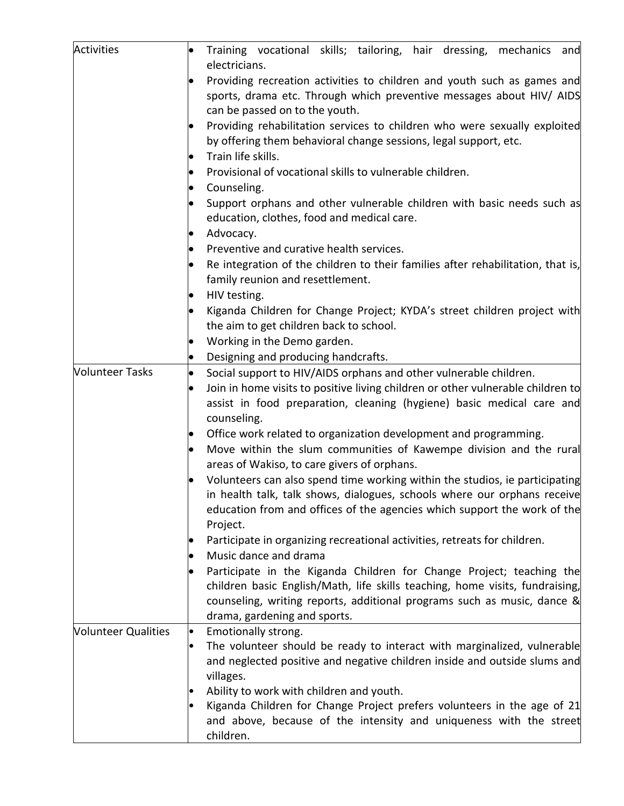| Activities                 | Training vocational skills; tailoring, hair dressing, mechanics and                                                  |
|----------------------------|----------------------------------------------------------------------------------------------------------------------|
|                            | electricians.                                                                                                        |
|                            | Providing recreation activities to children and youth such as games and                                              |
|                            | sports, drama etc. Through which preventive messages about HIV/ AIDS                                                 |
|                            | can be passed on to the youth.                                                                                       |
|                            | Providing rehabilitation services to children who were sexually exploited                                            |
|                            | by offering them behavioral change sessions, legal support, etc.                                                     |
|                            | Train life skills.                                                                                                   |
|                            | Provisional of vocational skills to vulnerable children.                                                             |
|                            | Counseling.<br>$\bullet$                                                                                             |
|                            | Support orphans and other vulnerable children with basic needs such as<br>education, clothes, food and medical care. |
|                            | Advocacy.                                                                                                            |
|                            | Preventive and curative health services.                                                                             |
|                            | Re integration of the children to their families after rehabilitation, that is,                                      |
|                            | family reunion and resettlement.                                                                                     |
|                            | HIV testing.                                                                                                         |
|                            | Kiganda Children for Change Project; KYDA's street children project with                                             |
|                            | the aim to get children back to school.                                                                              |
|                            | Working in the Demo garden.                                                                                          |
|                            | Designing and producing handcrafts.<br>$\bullet$                                                                     |
| <b>Volunteer Tasks</b>     | Social support to HIV/AIDS orphans and other vulnerable children.<br>$\bullet$                                       |
|                            | Join in home visits to positive living children or other vulnerable children to                                      |
|                            | assist in food preparation, cleaning (hygiene) basic medical care and                                                |
|                            | counseling.                                                                                                          |
|                            | Office work related to organization development and programming.                                                     |
|                            | Move within the slum communities of Kawempe division and the rural                                                   |
|                            | areas of Wakiso, to care givers of orphans.                                                                          |
|                            | Volunteers can also spend time working within the studios, ie participating                                          |
|                            | in health talk, talk shows, dialogues, schools where our orphans receive                                             |
|                            | education from and offices of the agencies which support the work of the                                             |
|                            | Project.                                                                                                             |
|                            | Participate in organizing recreational activities, retreats for children.                                            |
|                            | Music dance and drama                                                                                                |
|                            | Participate in the Kiganda Children for Change Project; teaching the                                                 |
|                            | children basic English/Math, life skills teaching, home visits, fundraising,                                         |
|                            | counseling, writing reports, additional programs such as music, dance &                                              |
|                            | drama, gardening and sports.                                                                                         |
| <b>Volunteer Qualities</b> | Emotionally strong.                                                                                                  |
|                            | The volunteer should be ready to interact with marginalized, vulnerable<br>$\bullet$                                 |
|                            | and neglected positive and negative children inside and outside slums and                                            |
|                            | villages.<br>Ability to work with children and youth.                                                                |
|                            | Kiganda Children for Change Project prefers volunteers in the age of 21                                              |
|                            | and above, because of the intensity and uniqueness with the street                                                   |
|                            | children.                                                                                                            |
|                            |                                                                                                                      |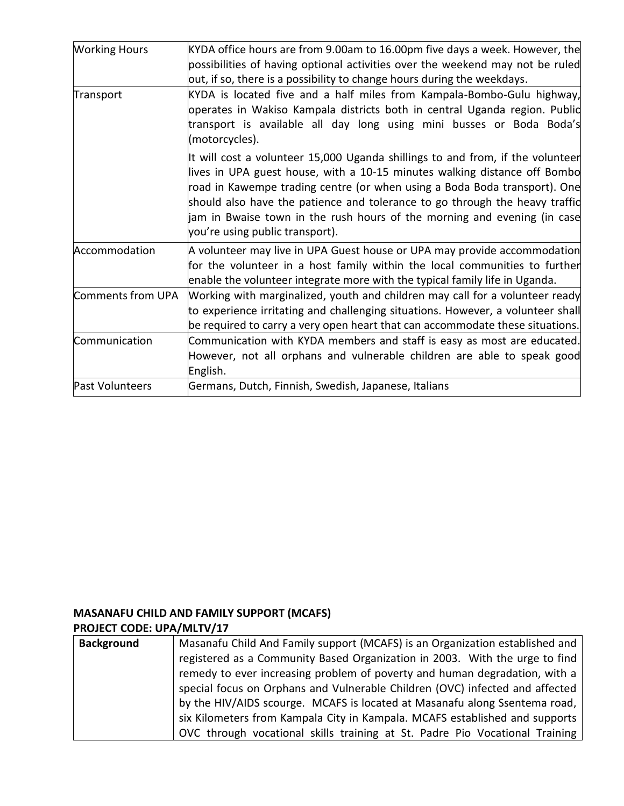| <b>Working Hours</b> | KYDA office hours are from 9.00am to 16.00pm five days a week. However, the<br>possibilities of having optional activities over the weekend may not be ruled<br>out, if so, there is a possibility to change hours during the weekdays.                                                                                                                                                                                                |
|----------------------|----------------------------------------------------------------------------------------------------------------------------------------------------------------------------------------------------------------------------------------------------------------------------------------------------------------------------------------------------------------------------------------------------------------------------------------|
| Transport            | KYDA is located five and a half miles from Kampala-Bombo-Gulu highway,<br>operates in Wakiso Kampala districts both in central Uganda region. Public<br>transport is available all day long using mini busses or Boda Boda's<br>(motorcycles).                                                                                                                                                                                         |
|                      | It will cost a volunteer 15,000 Uganda shillings to and from, if the volunteer<br>lives in UPA guest house, with a 10-15 minutes walking distance off Bombo<br>road in Kawempe trading centre (or when using a Boda Boda transport). One<br>should also have the patience and tolerance to go through the heavy traffid<br>jam in Bwaise town in the rush hours of the morning and evening (in case<br>you're using public transport). |
| Accommodation        | A volunteer may live in UPA Guest house or UPA may provide accommodation<br>for the volunteer in a host family within the local communities to further<br>enable the volunteer integrate more with the typical family life in Uganda.                                                                                                                                                                                                  |
| Comments from UPA    | Working with marginalized, youth and children may call for a volunteer ready<br>to experience irritating and challenging situations. However, a volunteer shall<br>be required to carry a very open heart that can accommodate these situations.                                                                                                                                                                                       |
| Communication        | Communication with KYDA members and staff is easy as most are educated.<br>However, not all orphans and vulnerable children are able to speak good<br>English.                                                                                                                                                                                                                                                                         |
| Past Volunteers      | Germans, Dutch, Finnish, Swedish, Japanese, Italians                                                                                                                                                                                                                                                                                                                                                                                   |

## **MASANAFU CHILD AND FAMILY SUPPORT (MCAFS) PROJECT CODE: UPA/MLTV/17**

| Masanafu Child And Family support (MCAFS) is an Organization established and |
|------------------------------------------------------------------------------|
| registered as a Community Based Organization in 2003. With the urge to find  |
| remedy to ever increasing problem of poverty and human degradation, with a   |
| special focus on Orphans and Vulnerable Children (OVC) infected and affected |
| by the HIV/AIDS scourge. MCAFS is located at Masanafu along Ssentema road,   |
| six Kilometers from Kampala City in Kampala. MCAFS established and supports  |
| OVC through vocational skills training at St. Padre Pio Vocational Training  |
|                                                                              |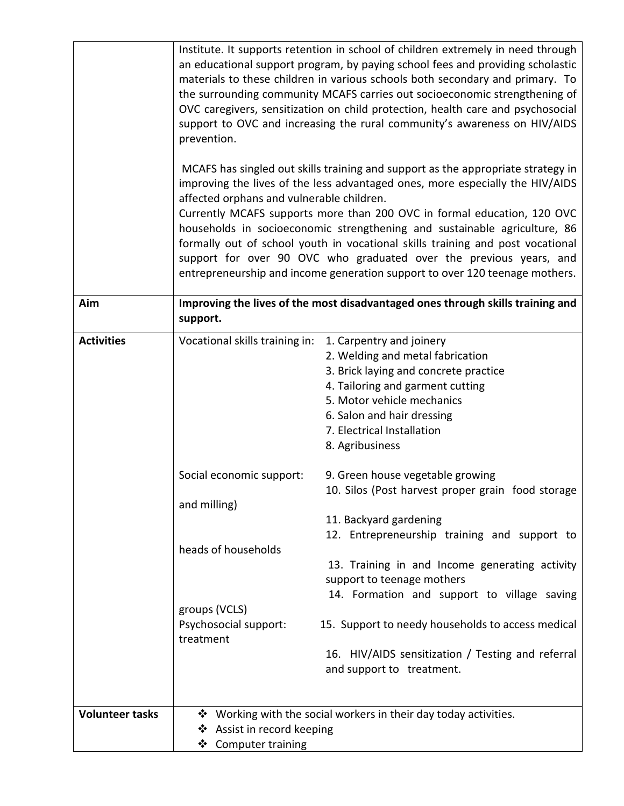|                        | prevention.<br>affected orphans and vulnerable children. | Institute. It supports retention in school of children extremely in need through<br>an educational support program, by paying school fees and providing scholastic<br>materials to these children in various schools both secondary and primary. To<br>the surrounding community MCAFS carries out socioeconomic strengthening of<br>OVC caregivers, sensitization on child protection, health care and psychosocial<br>support to OVC and increasing the rural community's awareness on HIV/AIDS<br>MCAFS has singled out skills training and support as the appropriate strategy in<br>improving the lives of the less advantaged ones, more especially the HIV/AIDS<br>Currently MCAFS supports more than 200 OVC in formal education, 120 OVC<br>households in socioeconomic strengthening and sustainable agriculture, 86<br>formally out of school youth in vocational skills training and post vocational<br>support for over 90 OVC who graduated over the previous years, and<br>entrepreneurship and income generation support to over 120 teenage mothers. |
|------------------------|----------------------------------------------------------|-----------------------------------------------------------------------------------------------------------------------------------------------------------------------------------------------------------------------------------------------------------------------------------------------------------------------------------------------------------------------------------------------------------------------------------------------------------------------------------------------------------------------------------------------------------------------------------------------------------------------------------------------------------------------------------------------------------------------------------------------------------------------------------------------------------------------------------------------------------------------------------------------------------------------------------------------------------------------------------------------------------------------------------------------------------------------|
| Aim                    | support.                                                 | Improving the lives of the most disadvantaged ones through skills training and                                                                                                                                                                                                                                                                                                                                                                                                                                                                                                                                                                                                                                                                                                                                                                                                                                                                                                                                                                                        |
| <b>Activities</b>      | Vocational skills training in:                           | 1. Carpentry and joinery<br>2. Welding and metal fabrication<br>3. Brick laying and concrete practice<br>4. Tailoring and garment cutting<br>5. Motor vehicle mechanics<br>6. Salon and hair dressing<br>7. Electrical Installation<br>8. Agribusiness                                                                                                                                                                                                                                                                                                                                                                                                                                                                                                                                                                                                                                                                                                                                                                                                                |
|                        | Social economic support:<br>and milling)                 | 9. Green house vegetable growing<br>10. Silos (Post harvest proper grain food storage<br>11. Backyard gardening                                                                                                                                                                                                                                                                                                                                                                                                                                                                                                                                                                                                                                                                                                                                                                                                                                                                                                                                                       |
|                        | heads of households                                      | 12. Entrepreneurship training and support to<br>13. Training in and Income generating activity<br>support to teenage mothers<br>14. Formation and support to village saving                                                                                                                                                                                                                                                                                                                                                                                                                                                                                                                                                                                                                                                                                                                                                                                                                                                                                           |
|                        | groups (VCLS)<br>Psychosocial support:<br>treatment      | 15. Support to needy households to access medical<br>16. HIV/AIDS sensitization / Testing and referral<br>and support to treatment.                                                                                                                                                                                                                                                                                                                                                                                                                                                                                                                                                                                                                                                                                                                                                                                                                                                                                                                                   |
| <b>Volunteer tasks</b> | ❖ Assist in record keeping<br>❖ Computer training        | ❖ Working with the social workers in their day today activities.                                                                                                                                                                                                                                                                                                                                                                                                                                                                                                                                                                                                                                                                                                                                                                                                                                                                                                                                                                                                      |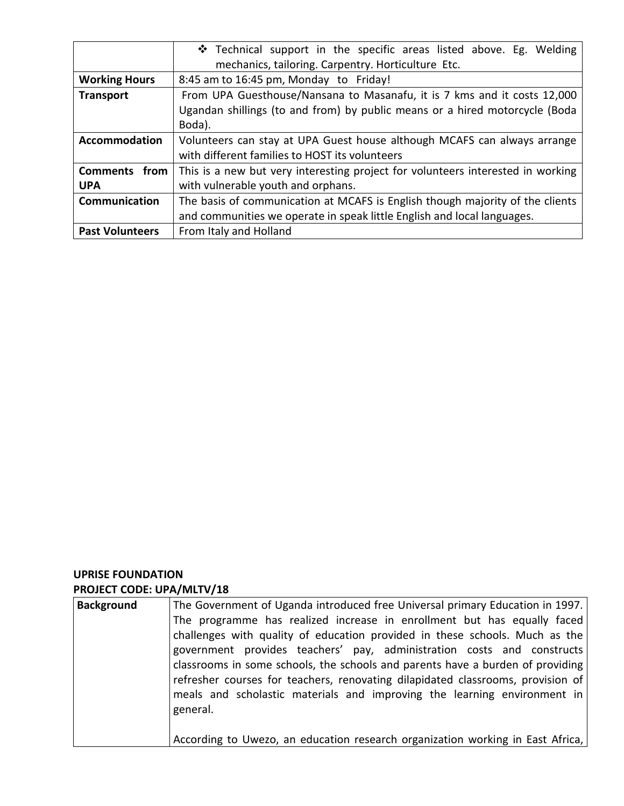|                        | $\div$ Technical support in the specific areas listed above. Eg. Welding<br>mechanics, tailoring. Carpentry. Horticulture Etc. |
|------------------------|--------------------------------------------------------------------------------------------------------------------------------|
| <b>Working Hours</b>   | 8:45 am to 16:45 pm, Monday to Friday!                                                                                         |
| <b>Transport</b>       | From UPA Guesthouse/Nansana to Masanafu, it is 7 kms and it costs 12,000                                                       |
|                        | Ugandan shillings (to and from) by public means or a hired motorcycle (Boda                                                    |
|                        | Boda).                                                                                                                         |
| <b>Accommodation</b>   | Volunteers can stay at UPA Guest house although MCAFS can always arrange                                                       |
|                        | with different families to HOST its volunteers                                                                                 |
| Comments from          | This is a new but very interesting project for volunteers interested in working                                                |
| <b>UPA</b>             | with vulnerable youth and orphans.                                                                                             |
| <b>Communication</b>   | The basis of communication at MCAFS is English though majority of the clients                                                  |
|                        | and communities we operate in speak little English and local languages.                                                        |
| <b>Past Volunteers</b> | From Italy and Holland                                                                                                         |

## **UPRISE FOUNDATION PROJECT CODE: UPA/MLTV/18**

| <b>Background</b> | The Government of Uganda introduced free Universal primary Education in 1997.<br>The programme has realized increase in enrollment but has equally faced<br>challenges with quality of education provided in these schools. Much as the<br>government provides teachers' pay, administration costs and constructs<br>classrooms in some schools, the schools and parents have a burden of providing<br>refresher courses for teachers, renovating dilapidated classrooms, provision of<br>meals and scholastic materials and improving the learning environment in<br>general. |
|-------------------|--------------------------------------------------------------------------------------------------------------------------------------------------------------------------------------------------------------------------------------------------------------------------------------------------------------------------------------------------------------------------------------------------------------------------------------------------------------------------------------------------------------------------------------------------------------------------------|
|                   | According to Uwezo, an education research organization working in East Africa,                                                                                                                                                                                                                                                                                                                                                                                                                                                                                                 |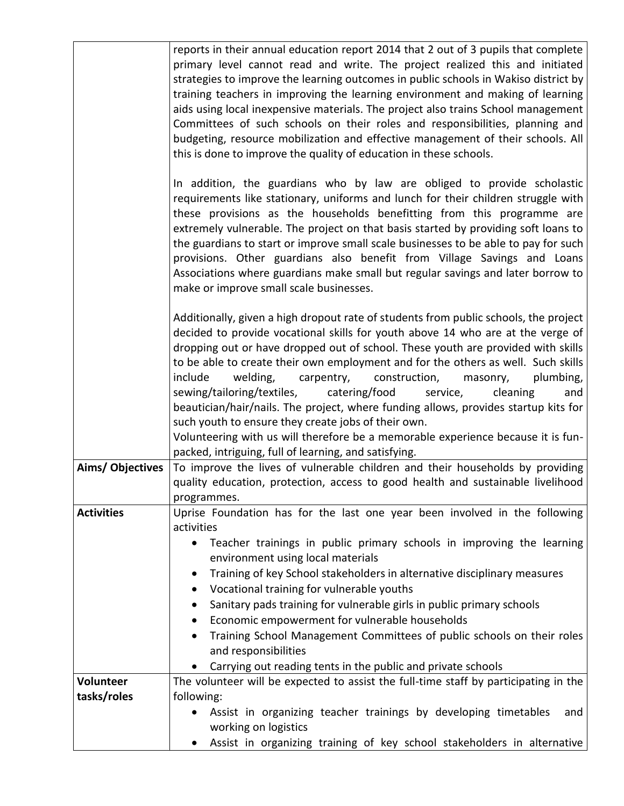|                   | reports in their annual education report 2014 that 2 out of 3 pupils that complete<br>primary level cannot read and write. The project realized this and initiated<br>strategies to improve the learning outcomes in public schools in Wakiso district by<br>training teachers in improving the learning environment and making of learning<br>aids using local inexpensive materials. The project also trains School management<br>Committees of such schools on their roles and responsibilities, planning and<br>budgeting, resource mobilization and effective management of their schools. All<br>this is done to improve the quality of education in these schools.                                                                                                                                                                                                                 |
|-------------------|-------------------------------------------------------------------------------------------------------------------------------------------------------------------------------------------------------------------------------------------------------------------------------------------------------------------------------------------------------------------------------------------------------------------------------------------------------------------------------------------------------------------------------------------------------------------------------------------------------------------------------------------------------------------------------------------------------------------------------------------------------------------------------------------------------------------------------------------------------------------------------------------|
|                   | In addition, the guardians who by law are obliged to provide scholastic<br>requirements like stationary, uniforms and lunch for their children struggle with<br>these provisions as the households benefitting from this programme are<br>extremely vulnerable. The project on that basis started by providing soft loans to<br>the guardians to start or improve small scale businesses to be able to pay for such<br>provisions. Other guardians also benefit from Village Savings and Loans<br>Associations where guardians make small but regular savings and later borrow to<br>make or improve small scale businesses.                                                                                                                                                                                                                                                              |
| Aims/Objectives   | Additionally, given a high dropout rate of students from public schools, the project<br>decided to provide vocational skills for youth above 14 who are at the verge of<br>dropping out or have dropped out of school. These youth are provided with skills<br>to be able to create their own employment and for the others as well. Such skills<br>include<br>welding,<br>carpentry,<br>construction,<br>masonry,<br>plumbing,<br>sewing/tailoring/textiles,<br>catering/food<br>service,<br>cleaning<br>and<br>beautician/hair/nails. The project, where funding allows, provides startup kits for<br>such youth to ensure they create jobs of their own.<br>Volunteering with us will therefore be a memorable experience because it is fun-<br>packed, intriguing, full of learning, and satisfying.<br>To improve the lives of vulnerable children and their households by providing |
|                   | quality education, protection, access to good health and sustainable livelihood<br>programmes.                                                                                                                                                                                                                                                                                                                                                                                                                                                                                                                                                                                                                                                                                                                                                                                            |
| <b>Activities</b> | Uprise Foundation has for the last one year been involved in the following<br>activities<br>Teacher trainings in public primary schools in improving the learning<br>٠<br>environment using local materials<br>Training of key School stakeholders in alternative disciplinary measures<br>$\bullet$<br>Vocational training for vulnerable youths<br>٠<br>Sanitary pads training for vulnerable girls in public primary schools<br>Economic empowerment for vulnerable households<br>٠<br>Training School Management Committees of public schools on their roles<br>٠<br>and responsibilities<br>Carrying out reading tents in the public and private schools                                                                                                                                                                                                                             |
| Volunteer         | The volunteer will be expected to assist the full-time staff by participating in the                                                                                                                                                                                                                                                                                                                                                                                                                                                                                                                                                                                                                                                                                                                                                                                                      |
| tasks/roles       | following:                                                                                                                                                                                                                                                                                                                                                                                                                                                                                                                                                                                                                                                                                                                                                                                                                                                                                |
|                   | Assist in organizing teacher trainings by developing timetables<br>and<br>working on logistics                                                                                                                                                                                                                                                                                                                                                                                                                                                                                                                                                                                                                                                                                                                                                                                            |
|                   | Assist in organizing training of key school stakeholders in alternative<br>٠                                                                                                                                                                                                                                                                                                                                                                                                                                                                                                                                                                                                                                                                                                                                                                                                              |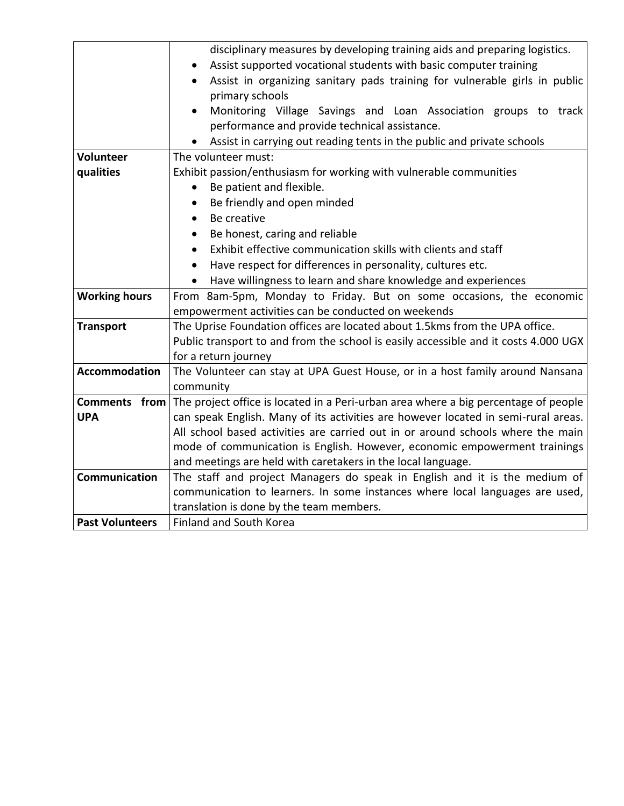|                        | disciplinary measures by developing training aids and preparing logistics.          |  |
|------------------------|-------------------------------------------------------------------------------------|--|
|                        | Assist supported vocational students with basic computer training<br>$\bullet$      |  |
|                        | Assist in organizing sanitary pads training for vulnerable girls in public          |  |
|                        | primary schools                                                                     |  |
|                        | Monitoring Village Savings and Loan Association groups to track<br>$\bullet$        |  |
|                        | performance and provide technical assistance.                                       |  |
|                        | Assist in carrying out reading tents in the public and private schools              |  |
| <b>Volunteer</b>       | The volunteer must:                                                                 |  |
| qualities              | Exhibit passion/enthusiasm for working with vulnerable communities                  |  |
|                        | Be patient and flexible.<br>$\bullet$                                               |  |
|                        | Be friendly and open minded<br>$\bullet$                                            |  |
|                        | Be creative<br>$\bullet$                                                            |  |
|                        | Be honest, caring and reliable<br>$\bullet$                                         |  |
|                        | Exhibit effective communication skills with clients and staff<br>$\bullet$          |  |
|                        | Have respect for differences in personality, cultures etc.<br>$\bullet$             |  |
|                        | Have willingness to learn and share knowledge and experiences                       |  |
| <b>Working hours</b>   | From 8am-5pm, Monday to Friday. But on some occasions, the economic                 |  |
|                        | empowerment activities can be conducted on weekends                                 |  |
| <b>Transport</b>       | The Uprise Foundation offices are located about 1.5kms from the UPA office.         |  |
|                        | Public transport to and from the school is easily accessible and it costs 4.000 UGX |  |
|                        | for a return journey                                                                |  |
| <b>Accommodation</b>   | The Volunteer can stay at UPA Guest House, or in a host family around Nansana       |  |
|                        | community                                                                           |  |
| Comments from          | The project office is located in a Peri-urban area where a big percentage of people |  |
| <b>UPA</b>             | can speak English. Many of its activities are however located in semi-rural areas.  |  |
|                        | All school based activities are carried out in or around schools where the main     |  |
|                        | mode of communication is English. However, economic empowerment trainings           |  |
|                        | and meetings are held with caretakers in the local language.                        |  |
| <b>Communication</b>   | The staff and project Managers do speak in English and it is the medium of          |  |
|                        | communication to learners. In some instances where local languages are used,        |  |
|                        | translation is done by the team members.                                            |  |
| <b>Past Volunteers</b> | <b>Finland and South Korea</b>                                                      |  |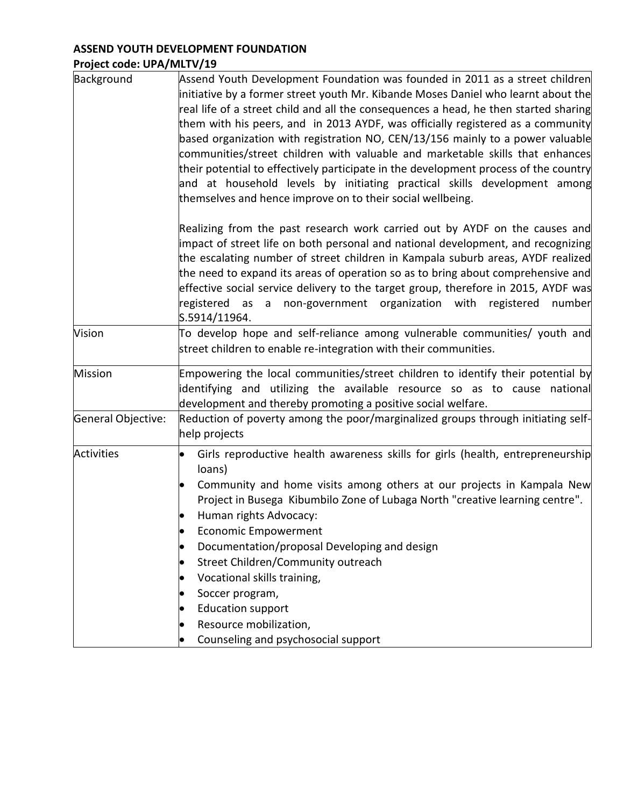# **ASSEND YOUTH DEVELOPMENT FOUNDATION Project code: UPA/MLTV/19**

| Background         | Assend Youth Development Foundation was founded in 2011 as a street children<br>initiative by a former street youth Mr. Kibande Moses Daniel who learnt about the<br>real life of a street child and all the consequences a head, he then started sharing<br>them with his peers, and in 2013 AYDF, was officially registered as a community<br>based organization with registration NO, $CEN/13/156$ mainly to a power valuable<br>communities/street children with valuable and marketable skills that enhances<br>their potential to effectively participate in the development process of the country<br>and at household levels by initiating practical skills development among<br>themselves and hence improve on to their social wellbeing. |
|--------------------|-----------------------------------------------------------------------------------------------------------------------------------------------------------------------------------------------------------------------------------------------------------------------------------------------------------------------------------------------------------------------------------------------------------------------------------------------------------------------------------------------------------------------------------------------------------------------------------------------------------------------------------------------------------------------------------------------------------------------------------------------------|
|                    | Realizing from the past research work carried out by AYDF on the causes and<br>impact of street life on both personal and national development, and recognizing<br>the escalating number of street children in Kampala suburb areas, AYDF realized<br>the need to expand its areas of operation so as to bring about comprehensive and<br>effective social service delivery to the target group, therefore in 2015, AYDF was<br>registered as a non-government organization with registered<br>number<br>S.5914/11964.                                                                                                                                                                                                                              |
| Vision             | To develop hope and self-reliance among vulnerable communities/ youth and<br>street children to enable re-integration with their communities.                                                                                                                                                                                                                                                                                                                                                                                                                                                                                                                                                                                                       |
| <b>Mission</b>     | Empowering the local communities/street children to identify their potential by<br>identifying and utilizing the available resource so as to cause national<br>development and thereby promoting a positive social welfare.                                                                                                                                                                                                                                                                                                                                                                                                                                                                                                                         |
| General Objective: | Reduction of poverty among the poor/marginalized groups through initiating self-<br>help projects                                                                                                                                                                                                                                                                                                                                                                                                                                                                                                                                                                                                                                                   |
| <b>Activities</b>  | Girls reproductive health awareness skills for girls (health, entrepreneurship<br>loans)<br>Community and home visits among others at our projects in Kampala New<br>Project in Busega Kibumbilo Zone of Lubaga North "creative learning centre".<br>Human rights Advocacy:<br><b>Economic Empowerment</b><br>Documentation/proposal Developing and design<br>Street Children/Community outreach<br>Vocational skills training,<br>Soccer program,<br><b>Education support</b><br>Resource mobilization,<br>Counseling and psychosocial support                                                                                                                                                                                                     |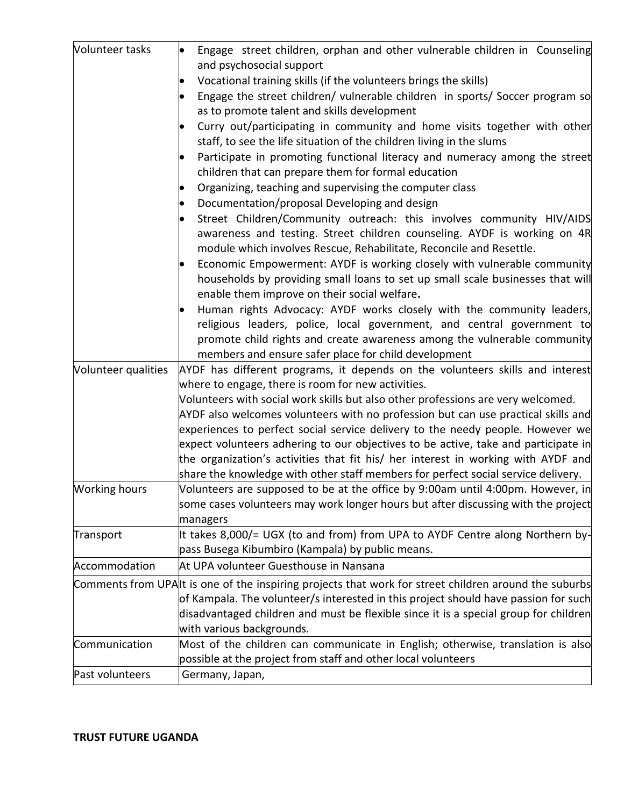| Volunteer tasks      | Engage street children, orphan and other vulnerable children in Counseling<br>and psychosocial support                                                                                                                                                                              |
|----------------------|-------------------------------------------------------------------------------------------------------------------------------------------------------------------------------------------------------------------------------------------------------------------------------------|
|                      | Vocational training skills (if the volunteers brings the skills)                                                                                                                                                                                                                    |
|                      | Engage the street children/ vulnerable children in sports/ Soccer program so                                                                                                                                                                                                        |
|                      | as to promote talent and skills development                                                                                                                                                                                                                                         |
|                      | Curry out/participating in community and home visits together with other<br>staff, to see the life situation of the children living in the slums                                                                                                                                    |
|                      | Participate in promoting functional literacy and numeracy among the street<br>children that can prepare them for formal education                                                                                                                                                   |
|                      | Organizing, teaching and supervising the computer class                                                                                                                                                                                                                             |
|                      |                                                                                                                                                                                                                                                                                     |
|                      | Documentation/proposal Developing and design                                                                                                                                                                                                                                        |
|                      | Street Children/Community outreach: this involves community HIV/AIDS<br>awareness and testing. Street children counseling. AYDF is working on 4R<br>module which involves Rescue, Rehabilitate, Reconcile and Resettle.                                                             |
|                      | Economic Empowerment: AYDF is working closely with vulnerable community<br>households by providing small loans to set up small scale businesses that will<br>enable them improve on their social welfare.                                                                           |
|                      | Human rights Advocacy: AYDF works closely with the community leaders,<br>religious leaders, police, local government, and central government to<br>promote child rights and create awareness among the vulnerable community<br>members and ensure safer place for child development |
| Volunteer qualities  | AYDF has different programs, it depends on the volunteers skills and interest                                                                                                                                                                                                       |
|                      | where to engage, there is room for new activities.                                                                                                                                                                                                                                  |
|                      | Volunteers with social work skills but also other professions are very welcomed.                                                                                                                                                                                                    |
|                      | AYDF also welcomes volunteers with no profession but can use practical skills and                                                                                                                                                                                                   |
|                      | experiences to perfect social service delivery to the needy people. However we                                                                                                                                                                                                      |
|                      | expect volunteers adhering to our objectives to be active, take and participate in                                                                                                                                                                                                  |
|                      | the organization's activities that fit his/ her interest in working with AYDF and<br>share the knowledge with other staff members for perfect social service delivery.                                                                                                              |
| <b>Working hours</b> | Volunteers are supposed to be at the office by 9:00am until 4:00pm. However, in                                                                                                                                                                                                     |
|                      | some cases volunteers may work longer hours but after discussing with the project<br>managers                                                                                                                                                                                       |
| Transport            | It takes 8,000/= UGX (to and from) from UPA to AYDF Centre along Northern by-                                                                                                                                                                                                       |
|                      | pass Busega Kibumbiro (Kampala) by public means.                                                                                                                                                                                                                                    |
| Accommodation        | At UPA volunteer Guesthouse in Nansana                                                                                                                                                                                                                                              |
|                      | Comments from UPA t is one of the inspiring projects that work for street children around the suburbs                                                                                                                                                                               |
|                      | of Kampala. The volunteer/s interested in this project should have passion for such                                                                                                                                                                                                 |
|                      | disadvantaged children and must be flexible since it is a special group for children                                                                                                                                                                                                |
|                      | with various backgrounds.                                                                                                                                                                                                                                                           |
| Communication        | Most of the children can communicate in English; otherwise, translation is also                                                                                                                                                                                                     |
|                      | possible at the project from staff and other local volunteers                                                                                                                                                                                                                       |
| Past volunteers      | Germany, Japan,                                                                                                                                                                                                                                                                     |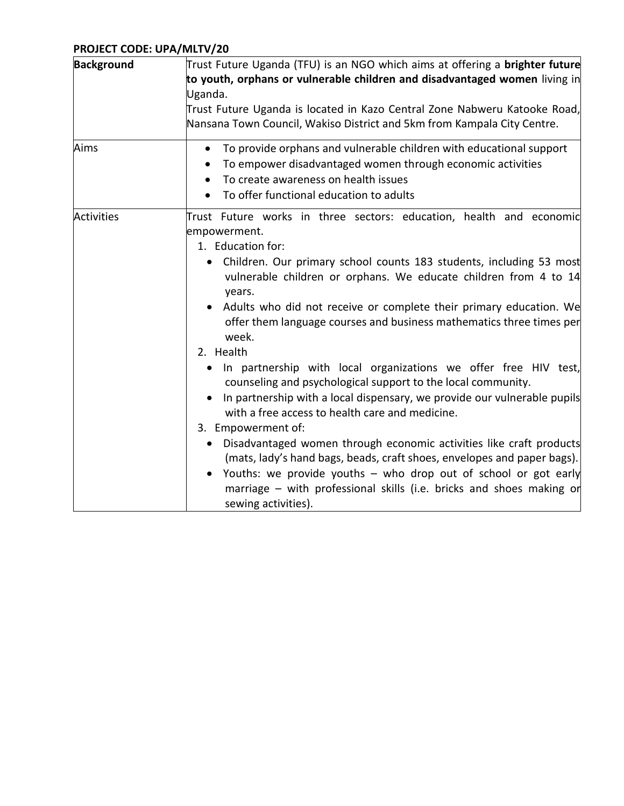# **PROJECT CODE: UPA/MLTV/20**

| <b>Background</b> | Trust Future Uganda (TFU) is an NGO which aims at offering a <b>brighter future</b><br>to youth, orphans or vulnerable children and disadvantaged women living in<br>Uganda.<br>Trust Future Uganda is located in Kazo Central Zone Nabweru Katooke Road,<br>Nansana Town Council, Wakiso District and 5km from Kampala City Centre.                                                                                                                                                                                                                                                                                                                                                                                                                                                                                                                                                                                                                                                                                                                                      |
|-------------------|---------------------------------------------------------------------------------------------------------------------------------------------------------------------------------------------------------------------------------------------------------------------------------------------------------------------------------------------------------------------------------------------------------------------------------------------------------------------------------------------------------------------------------------------------------------------------------------------------------------------------------------------------------------------------------------------------------------------------------------------------------------------------------------------------------------------------------------------------------------------------------------------------------------------------------------------------------------------------------------------------------------------------------------------------------------------------|
| Aims              | To provide orphans and vulnerable children with educational support<br>$\bullet$<br>To empower disadvantaged women through economic activities<br>To create awareness on health issues<br>To offer functional education to adults                                                                                                                                                                                                                                                                                                                                                                                                                                                                                                                                                                                                                                                                                                                                                                                                                                         |
| <b>Activities</b> | Trust Future works in three sectors: education, health and economic<br>empowerment.<br>1. Education for:<br>Children. Our primary school counts 183 students, including 53 most<br>vulnerable children or orphans. We educate children from 4 to 14<br>years.<br>Adults who did not receive or complete their primary education. We<br>offer them language courses and business mathematics three times per<br>week.<br>2. Health<br>In partnership with local organizations we offer free HIV test,<br>$\bullet$<br>counseling and psychological support to the local community.<br>In partnership with a local dispensary, we provide our vulnerable pupils<br>with a free access to health care and medicine.<br>3. Empowerment of:<br>Disadvantaged women through economic activities like craft products<br>$\bullet$<br>(mats, lady's hand bags, beads, craft shoes, envelopes and paper bags).<br>Youths: we provide youths $-$ who drop out of school or got early<br>marriage - with professional skills (i.e. bricks and shoes making or<br>sewing activities). |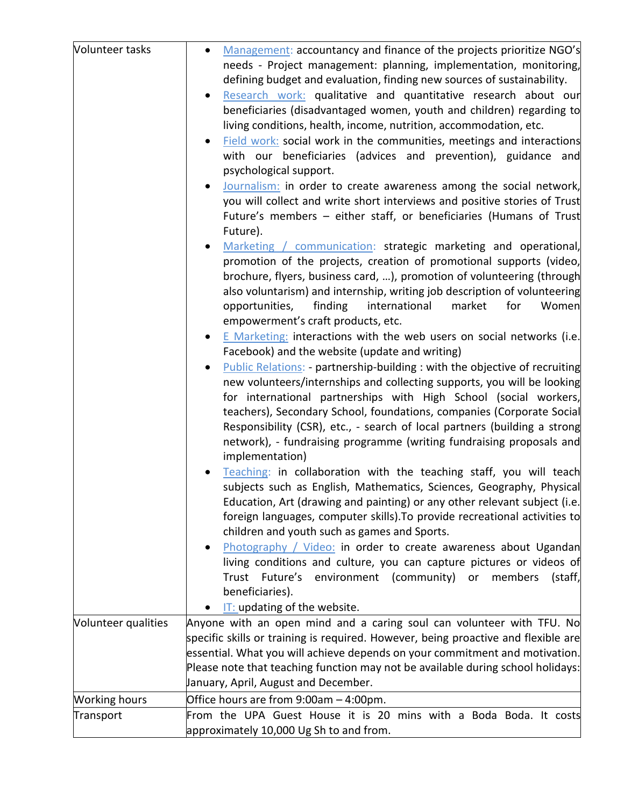| Volunteer tasks      | Management: accountancy and finance of the projects prioritize NGO's<br>$\bullet$<br>needs - Project management: planning, implementation, monitoring,<br>defining budget and evaluation, finding new sources of sustainability.<br>Research work: qualitative and quantitative research about our<br>beneficiaries (disadvantaged women, youth and children) regarding to<br>living conditions, health, income, nutrition, accommodation, etc.<br>Field work: social work in the communities, meetings and interactions<br>with our beneficiaries (advices and prevention), guidance and<br>psychological support.<br>Journalism: in order to create awareness among the social network,<br>you will collect and write short interviews and positive stories of Trust<br>Future's members - either staff, or beneficiaries (Humans of Trust<br>Future).<br>Marketing / communication: strategic marketing and operational,<br>promotion of the projects, creation of promotional supports (video,<br>brochure, flyers, business card, ), promotion of volunteering (through<br>also voluntarism) and internship, writing job description of volunteering<br>finding<br>international<br>market<br>for<br>Women<br>opportunities,<br>empowerment's craft products, etc.<br>E Marketing: interactions with the web users on social networks (i.e.<br>Facebook) and the website (update and writing)<br><b>Public Relations:</b> - partnership-building : with the objective of recruiting<br>new volunteers/internships and collecting supports, you will be looking<br>for international partnerships with High School (social workers,<br>teachers), Secondary School, foundations, companies (Corporate Social<br>Responsibility (CSR), etc., - search of local partners (building a strong<br>network), - fundraising programme (writing fundraising proposals and<br>implementation)<br>Teaching: in collaboration with the teaching staff, you will teach<br>subjects such as English, Mathematics, Sciences, Geography, Physical<br>Education, Art (drawing and painting) or any other relevant subject (i.e.<br>foreign languages, computer skills). To provide recreational activities to<br>children and youth such as games and Sports.<br>Photography / Video: in order to create awareness about Ugandan<br>living conditions and culture, you can capture pictures or videos of<br>Trust Future's environment (community) or<br>members<br>(staff,<br>beneficiaries). |
|----------------------|------------------------------------------------------------------------------------------------------------------------------------------------------------------------------------------------------------------------------------------------------------------------------------------------------------------------------------------------------------------------------------------------------------------------------------------------------------------------------------------------------------------------------------------------------------------------------------------------------------------------------------------------------------------------------------------------------------------------------------------------------------------------------------------------------------------------------------------------------------------------------------------------------------------------------------------------------------------------------------------------------------------------------------------------------------------------------------------------------------------------------------------------------------------------------------------------------------------------------------------------------------------------------------------------------------------------------------------------------------------------------------------------------------------------------------------------------------------------------------------------------------------------------------------------------------------------------------------------------------------------------------------------------------------------------------------------------------------------------------------------------------------------------------------------------------------------------------------------------------------------------------------------------------------------------------------------------------------------------------------------------------------------------------------------------------------------------------------------------------------------------------------------------------------------------------------------------------------------------------------------------------------------------------------------------------------------------------------------------------------------------------------------------------------------------------------------------------------------------------|
|                      | IT: updating of the website.                                                                                                                                                                                                                                                                                                                                                                                                                                                                                                                                                                                                                                                                                                                                                                                                                                                                                                                                                                                                                                                                                                                                                                                                                                                                                                                                                                                                                                                                                                                                                                                                                                                                                                                                                                                                                                                                                                                                                                                                                                                                                                                                                                                                                                                                                                                                                                                                                                                       |
| Volunteer qualities  | Anyone with an open mind and a caring soul can volunteer with TFU. No                                                                                                                                                                                                                                                                                                                                                                                                                                                                                                                                                                                                                                                                                                                                                                                                                                                                                                                                                                                                                                                                                                                                                                                                                                                                                                                                                                                                                                                                                                                                                                                                                                                                                                                                                                                                                                                                                                                                                                                                                                                                                                                                                                                                                                                                                                                                                                                                              |
|                      | specific skills or training is required. However, being proactive and flexible are<br>essential. What you will achieve depends on your commitment and motivation.<br>Please note that teaching function may not be available during school holidays:<br>January, April, August and December.                                                                                                                                                                                                                                                                                                                                                                                                                                                                                                                                                                                                                                                                                                                                                                                                                                                                                                                                                                                                                                                                                                                                                                                                                                                                                                                                                                                                                                                                                                                                                                                                                                                                                                                                                                                                                                                                                                                                                                                                                                                                                                                                                                                       |
| <b>Working hours</b> | Office hours are from 9:00am - 4:00pm.                                                                                                                                                                                                                                                                                                                                                                                                                                                                                                                                                                                                                                                                                                                                                                                                                                                                                                                                                                                                                                                                                                                                                                                                                                                                                                                                                                                                                                                                                                                                                                                                                                                                                                                                                                                                                                                                                                                                                                                                                                                                                                                                                                                                                                                                                                                                                                                                                                             |
| Transport            | From the UPA Guest House it is 20 mins with a Boda Boda. It costs<br>approximately 10,000 Ug Sh to and from.                                                                                                                                                                                                                                                                                                                                                                                                                                                                                                                                                                                                                                                                                                                                                                                                                                                                                                                                                                                                                                                                                                                                                                                                                                                                                                                                                                                                                                                                                                                                                                                                                                                                                                                                                                                                                                                                                                                                                                                                                                                                                                                                                                                                                                                                                                                                                                       |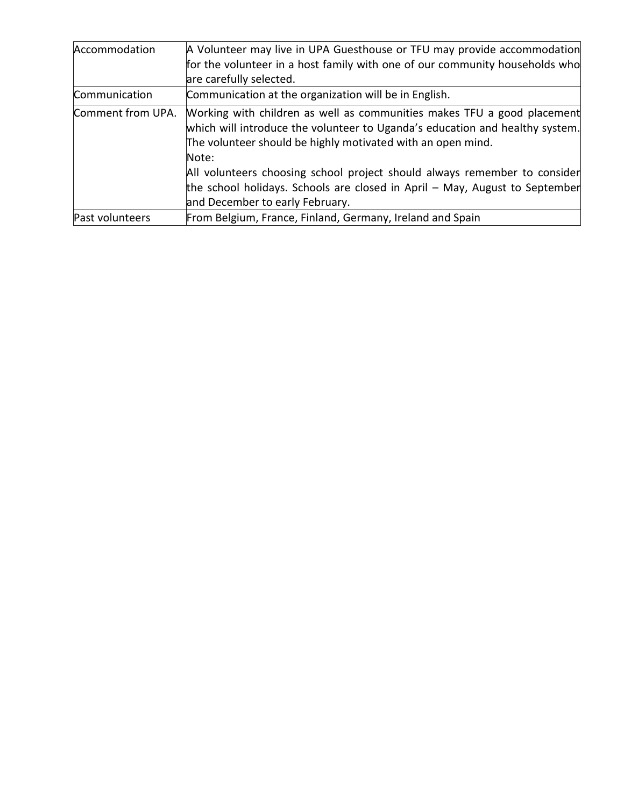| Accommodation     | A Volunteer may live in UPA Guesthouse or TFU may provide accommodation                                                                                                                                                |
|-------------------|------------------------------------------------------------------------------------------------------------------------------------------------------------------------------------------------------------------------|
|                   | for the volunteer in a host family with one of our community households who                                                                                                                                            |
|                   | are carefully selected.                                                                                                                                                                                                |
| Communication     | Communication at the organization will be in English.                                                                                                                                                                  |
| Comment from UPA. | Working with children as well as communities makes TFU a good placement<br>which will introduce the volunteer to Uganda's education and healthy system.<br>The volunteer should be highly motivated with an open mind. |
|                   | Note:                                                                                                                                                                                                                  |
|                   | All volunteers choosing school project should always remember to consider<br>the school holidays. Schools are closed in April - May, August to September                                                               |
|                   | and December to early February.                                                                                                                                                                                        |
| Past volunteers   | From Belgium, France, Finland, Germany, Ireland and Spain                                                                                                                                                              |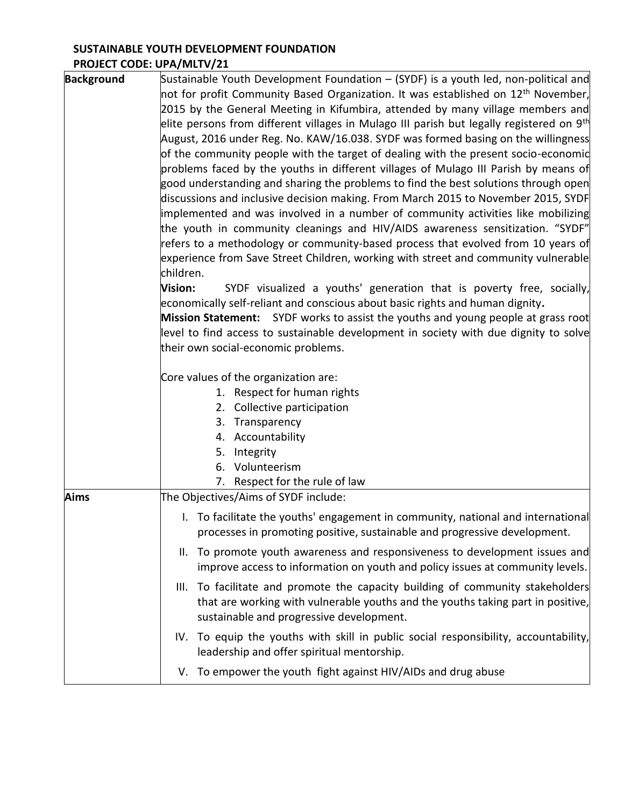## **SUSTAINABLE YOUTH DEVELOPMENT FOUNDATION PROJECT CODE: UPA/MLTV/21**

| <b>Background</b> | Sustainable Youth Development Foundation – (SYDF) is a youth led, non-political and<br>not for profit Community Based Organization. It was established on 12 <sup>th</sup> November,<br>2015 by the General Meeting in Kifumbira, attended by many village members and<br>elite persons from different villages in Mulago III parish but legally registered on 9 <sup>th</sup><br>August, 2016 under Reg. No. KAW/16.038. SYDF was formed basing on the willingness<br>of the community people with the target of dealing with the present socio-economic<br>problems faced by the youths in different villages of Mulago III Parish by means of<br>good understanding and sharing the problems to find the best solutions through open<br>discussions and inclusive decision making. From March 2015 to November 2015, SYDF<br>implemented and was involved in a number of community activities like mobilizing<br>the youth in community cleanings and HIV/AIDS awareness sensitization. "SYDF"<br>refers to a methodology or community-based process that evolved from 10 years of<br>experience from Save Street Children, working with street and community vulnerable<br>children.<br>Vision:<br>SYDF visualized a youths' generation that is poverty free, socially,<br>economically self-reliant and conscious about basic rights and human dignity.<br>Mission Statement: SYDF works to assist the youths and young people at grass root<br>level to find access to sustainable development in society with due dignity to solve<br>their own social-economic problems.<br>Core values of the organization are: |
|-------------------|--------------------------------------------------------------------------------------------------------------------------------------------------------------------------------------------------------------------------------------------------------------------------------------------------------------------------------------------------------------------------------------------------------------------------------------------------------------------------------------------------------------------------------------------------------------------------------------------------------------------------------------------------------------------------------------------------------------------------------------------------------------------------------------------------------------------------------------------------------------------------------------------------------------------------------------------------------------------------------------------------------------------------------------------------------------------------------------------------------------------------------------------------------------------------------------------------------------------------------------------------------------------------------------------------------------------------------------------------------------------------------------------------------------------------------------------------------------------------------------------------------------------------------------------------------------------------------------------------------------------------|
|                   | 1. Respect for human rights<br>2. Collective participation                                                                                                                                                                                                                                                                                                                                                                                                                                                                                                                                                                                                                                                                                                                                                                                                                                                                                                                                                                                                                                                                                                                                                                                                                                                                                                                                                                                                                                                                                                                                                               |
|                   | 3. Transparency<br>4. Accountability<br>5.<br>Integrity<br>Volunteerism<br>6.<br>7. Respect for the rule of law                                                                                                                                                                                                                                                                                                                                                                                                                                                                                                                                                                                                                                                                                                                                                                                                                                                                                                                                                                                                                                                                                                                                                                                                                                                                                                                                                                                                                                                                                                          |
| <b>Aims</b>       | The Objectives/Aims of SYDF include:                                                                                                                                                                                                                                                                                                                                                                                                                                                                                                                                                                                                                                                                                                                                                                                                                                                                                                                                                                                                                                                                                                                                                                                                                                                                                                                                                                                                                                                                                                                                                                                     |
|                   | I. To facilitate the youths' engagement in community, national and international<br>processes in promoting positive, sustainable and progressive development.                                                                                                                                                                                                                                                                                                                                                                                                                                                                                                                                                                                                                                                                                                                                                                                                                                                                                                                                                                                                                                                                                                                                                                                                                                                                                                                                                                                                                                                            |
|                   | To promote youth awareness and responsiveness to development issues and<br>Ш.<br>improve access to information on youth and policy issues at community levels.                                                                                                                                                                                                                                                                                                                                                                                                                                                                                                                                                                                                                                                                                                                                                                                                                                                                                                                                                                                                                                                                                                                                                                                                                                                                                                                                                                                                                                                           |
|                   | III. To facilitate and promote the capacity building of community stakeholders<br>that are working with vulnerable youths and the youths taking part in positive,<br>sustainable and progressive development.                                                                                                                                                                                                                                                                                                                                                                                                                                                                                                                                                                                                                                                                                                                                                                                                                                                                                                                                                                                                                                                                                                                                                                                                                                                                                                                                                                                                            |
|                   | IV. To equip the youths with skill in public social responsibility, accountability,<br>leadership and offer spiritual mentorship.                                                                                                                                                                                                                                                                                                                                                                                                                                                                                                                                                                                                                                                                                                                                                                                                                                                                                                                                                                                                                                                                                                                                                                                                                                                                                                                                                                                                                                                                                        |
|                   | V. To empower the youth fight against HIV/AIDs and drug abuse                                                                                                                                                                                                                                                                                                                                                                                                                                                                                                                                                                                                                                                                                                                                                                                                                                                                                                                                                                                                                                                                                                                                                                                                                                                                                                                                                                                                                                                                                                                                                            |